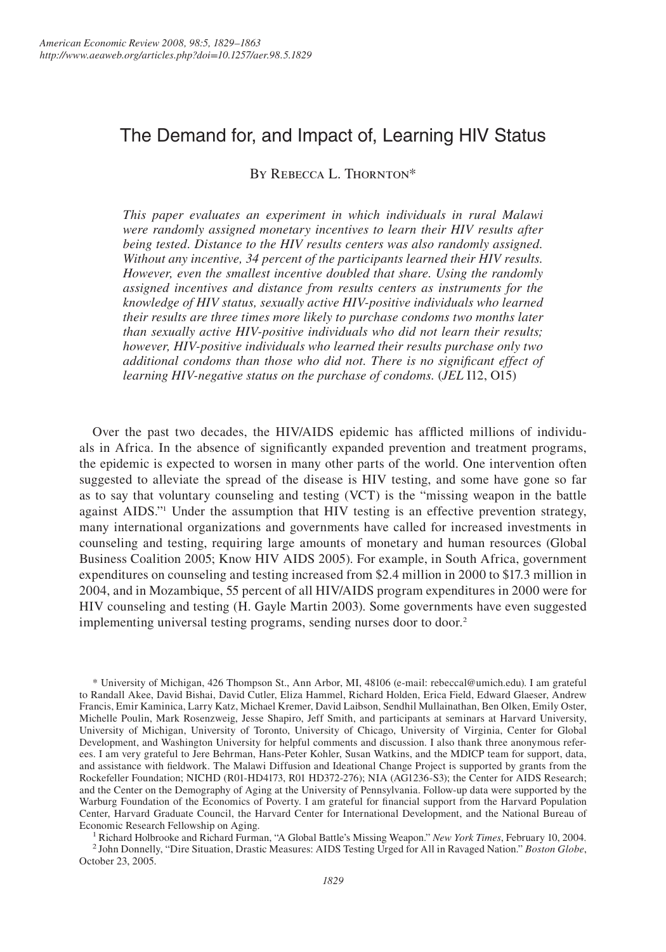# The Demand for, and Impact of, Learning HIV Status

By Rebecca L. Thornton\*

*This paper evaluates an experiment in which individuals in rural Malawi were randomly assigned monetary incentives to learn their HIV results after being tested. Distance to the HIV results centers was also randomly assigned. Without any incentive, 34 percent of the participants learned their HIV results. However, even the smallest incentive doubled that share. Using the randomly assigned incentives and distance from results centers as instruments for the knowledge of HIV status, sexually active HIV-positive individuals who learned their results are three times more likely to purchase condoms two months later than sexually active HIV-positive individuals who did not learn their results; however, HIV-positive individuals who learned their results purchase only two additional condoms than those who did not. There is no significant effect of learning HIV-negative status on the purchase of condoms.* (*JEL* I12, O15)

Over the past two decades, the HIV/AIDS epidemic has afflicted millions of individuals in Africa. In the absence of significantly expanded prevention and treatment programs, the epidemic is expected to worsen in many other parts of the world. One intervention often suggested to alleviate the spread of the disease is HIV testing, and some have gone so far as to say that voluntary counseling and testing (VCT) is the "missing weapon in the battle against AIDS."<sup>1</sup> Under the assumption that HIV testing is an effective prevention strategy, many international organizations and governments have called for increased investments in counseling and testing, requiring large amounts of monetary and human resources (Global Business Coalition 2005; Know HIV AIDS 2005). For example, in South Africa, government expenditures on counseling and testing increased from \$2.4 million in 2000 to \$17.3 million in 2004, and in Mozambique, 55 percent of all HIV/AIDS program expenditures in 2000 were for HIV counseling and testing (H. Gayle Martin 2003). Some governments have even suggested implementing universal testing programs, sending nurses door to door.2

\* University of Michigan, 426 Thompson St., Ann Arbor, MI, 48106 (e-mail: rebeccal@umich.edu). I am grateful to Randall Akee, David Bishai, David Cutler, Eliza Hammel, Richard Holden, Erica Field, Edward Glaeser, Andrew Francis, Emir Kaminica, Larry Katz, Michael Kremer, David Laibson, Sendhil Mullainathan, Ben Olken, Emily Oster, Michelle Poulin, Mark Rosenzweig, Jesse Shapiro, Jeff Smith, and participants at seminars at Harvard University, University of Michigan, University of Toronto, University of Chicago, University of Virginia, Center for Global Development, and Washington University for helpful comments and discussion. I also thank three anonymous referees. I am very grateful to Jere Behrman, Hans-Peter Kohler, Susan Watkins, and the MDICP team for support, data, and assistance with fieldwork. The Malawi Diffusion and Ideational Change Project is supported by grants from the Rockefeller Foundation; NICHD (R01-HD4173, R01 HD372-276); NIA (AG1236-S3); the Center for AIDS Research; and the Center on the Demography of Aging at the University of Pennsylvania. Follow-up data were supported by the Warburg Foundation of the Economics of Poverty. I am grateful for financial support from the Harvard Population Center, Harvard Graduate Council, the Harvard Center for International Development, and the National Bureau of Economic Research Fellowship on Aging.

<sup>1</sup> Richard Holbrooke and Richard Furman, "A Global Battle's Missing Weapon." New York Times, February 10, 2004.<br><sup>2</sup> John Donnelly, "Dire Situation, Drastic Measures: AIDS Testing Urged for All in Ravaged Nation." *Boston* October 23, 2005.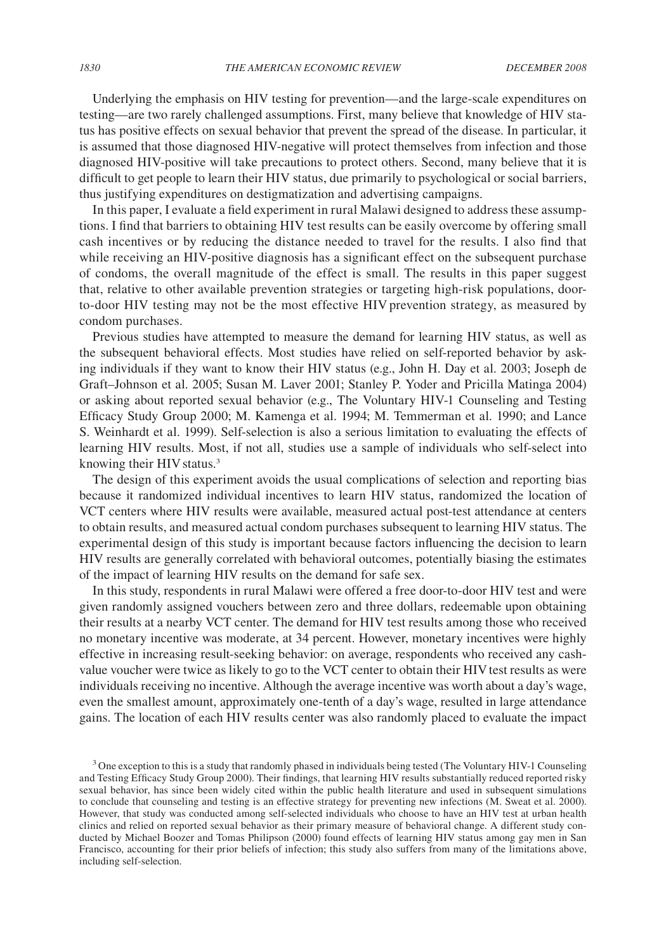Underlying the emphasis on HIV testing for prevention—and the large-scale expenditures on testing—are two rarely challenged assumptions. First, many believe that knowledge of HIV status has positive effects on sexual behavior that prevent the spread of the disease. In particular, it is assumed that those diagnosed HIV-negative will protect themselves from infection and those diagnosed HIV-positive will take precautions to protect others. Second, many believe that it is difficult to get people to learn their HIV status, due primarily to psychological or social barriers, thus justifying expenditures on destigmatization and advertising campaigns.

In this paper, I evaluate a field experiment in rural Malawi designed to address these assumptions. I find that barriers to obtaining HIV test results can be easily overcome by offering small cash incentives or by reducing the distance needed to travel for the results. I also find that while receiving an HIV-positive diagnosis has a significant effect on the subsequent purchase of condoms, the overall magnitude of the effect is small. The results in this paper suggest that, relative to other available prevention strategies or targeting high-risk populations, doorto-door HIV testing may not be the most effective HIV prevention strategy, as measured by condom purchases.

Previous studies have attempted to measure the demand for learning HIV status, as well as the subsequent behavioral effects. Most studies have relied on self-reported behavior by asking individuals if they want to know their HIV status (e.g., John H. Day et al. 2003; Joseph de Graft–Johnson et al. 2005; Susan M. Laver 2001; Stanley P. Yoder and Pricilla Matinga 2004) or asking about reported sexual behavior (e.g., The Voluntary HIV-1 Counseling and Testing Efficacy Study Group 2000; M. Kamenga et al. 1994; M. Temmerman et al. 1990; and Lance S. Weinhardt et al. 1999). Self-selection is also a serious limitation to evaluating the effects of learning HIV results. Most, if not all, studies use a sample of individuals who self-select into knowing their HIV status.<sup>3</sup>

The design of this experiment avoids the usual complications of selection and reporting bias because it randomized individual incentives to learn HIV status, randomized the location of VCT centers where HIV results were available, measured actual post-test attendance at centers to obtain results, and measured actual condom purchases subsequent to learning HIV status. The experimental design of this study is important because factors influencing the decision to learn HIV results are generally correlated with behavioral outcomes, potentially biasing the estimates of the impact of learning HIV results on the demand for safe sex.

In this study, respondents in rural Malawi were offered a free door-to-door HIV test and were given randomly assigned vouchers between zero and three dollars, redeemable upon obtaining their results at a nearby VCT center. The demand for HIV test results among those who received no monetary incentive was moderate, at 34 percent. However, monetary incentives were highly effective in increasing result-seeking behavior: on average, respondents who received any cashvalue voucher were twice as likely to go to the VCT center to obtain their HIV test results as were individuals receiving no incentive. Although the average incentive was worth about a day's wage, even the smallest amount, approximately one-tenth of a day's wage, resulted in large attendance gains. The location of each HIV results center was also randomly placed to evaluate the impact

<sup>&</sup>lt;sup>3</sup> One exception to this is a study that randomly phased in individuals being tested (The Voluntary HIV-1 Counseling and Testing Efficacy Study Group 2000). Their findings, that learning HIV results substantially reduced reported risky sexual behavior, has since been widely cited within the public health literature and used in subsequent simulations to conclude that counseling and testing is an effective strategy for preventing new infections (M. Sweat et al. 2000). However, that study was conducted among self-selected individuals who choose to have an HIV test at urban health clinics and relied on reported sexual behavior as their primary measure of behavioral change. A different study conducted by Michael Boozer and Tomas Philipson (2000) found effects of learning HIV status among gay men in San Francisco, accounting for their prior beliefs of infection; this study also suffers from many of the limitations above, including self-selection.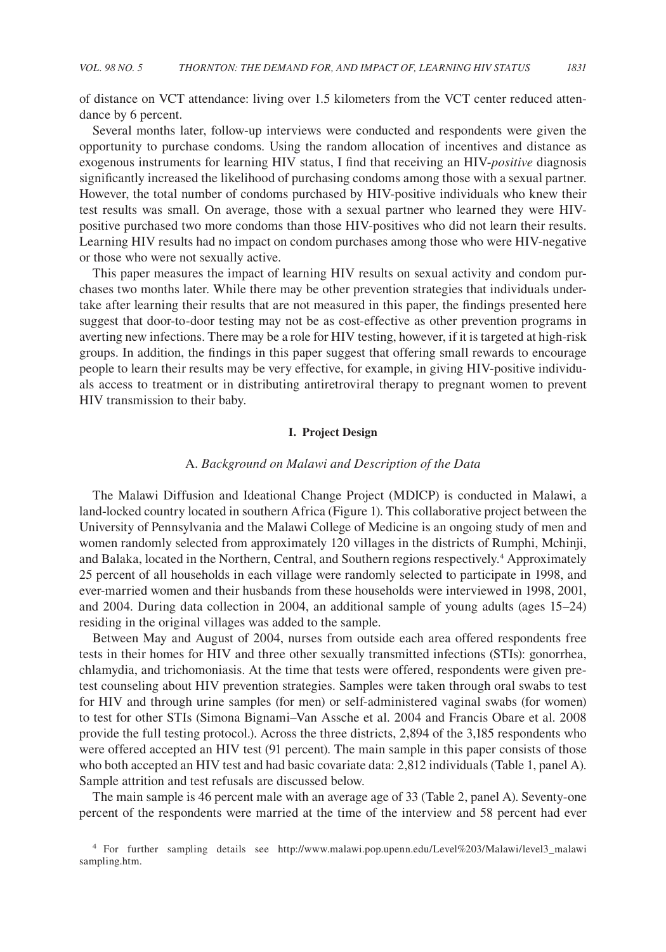of distance on VCT attendance: living over 1.5 kilometers from the VCT center reduced attendance by 6 percent.

Several months later, follow-up interviews were conducted and respondents were given the opportunity to purchase condoms. Using the random allocation of incentives and distance as exogenous instruments for learning HIV status, I find that receiving an HIV-*positive* diagnosis significantly increased the likelihood of purchasing condoms among those with a sexual partner. However, the total number of condoms purchased by HIV-positive individuals who knew their test results was small. On average, those with a sexual partner who learned they were HIVpositive purchased two more condoms than those HIV-positives who did not learn their results. Learning HIV results had no impact on condom purchases among those who were HIV-negative or those who were not sexually active.

This paper measures the impact of learning HIV results on sexual activity and condom purchases two months later. While there may be other prevention strategies that individuals undertake after learning their results that are not measured in this paper, the findings presented here suggest that door-to-door testing may not be as cost-effective as other prevention programs in averting new infections. There may be a role for HIV testing, however, if it is targeted at high-risk groups. In addition, the findings in this paper suggest that offering small rewards to encourage people to learn their results may be very effective, for example, in giving HIV-positive individuals access to treatment or in distributing antiretroviral therapy to pregnant women to prevent HIV transmission to their baby.

#### **I. Project Design**

#### A. *Background on Malawi and Description of the Data*

The Malawi Diffusion and Ideational Change Project (MDICP) is conducted in Malawi, a land-locked country located in southern Africa (Figure 1). This collaborative project between the University of Pennsylvania and the Malawi College of Medicine is an ongoing study of men and women randomly selected from approximately 120 villages in the districts of Rumphi, Mchinji, and Balaka, located in the Northern, Central, and Southern regions respectively.<sup>4</sup> Approximately 25 percent of all households in each village were randomly selected to participate in 1998, and ever-married women and their husbands from these households were interviewed in 1998, 2001, and 2004. During data collection in 2004, an additional sample of young adults (ages 15–24) residing in the original villages was added to the sample.

Between May and August of 2004, nurses from outside each area offered respondents free tests in their homes for HIV and three other sexually transmitted infections (STIs): gonorrhea, chlamydia, and trichomoniasis. At the time that tests were offered, respondents were given pretest counseling about HIV prevention strategies. Samples were taken through oral swabs to test for HIV and through urine samples (for men) or self-administered vaginal swabs (for women) to test for other STIs (Simona Bignami–Van Assche et al. 2004 and Francis Obare et al. 2008 provide the full testing protocol.). Across the three districts, 2,894 of the 3,185 respondents who were offered accepted an HIV test (91 percent). The main sample in this paper consists of those who both accepted an HIV test and had basic covariate data: 2,812 individuals (Table 1, panel A). Sample attrition and test refusals are discussed below.

The main sample is 46 percent male with an average age of 33 (Table 2, panel A). Seventy-one percent of the respondents were married at the time of the interview and 58 percent had ever

<sup>4</sup> For further sampling details see http://www.malawi.pop.upenn.edu/Level%203/Malawi/level3\_malawi sampling.htm.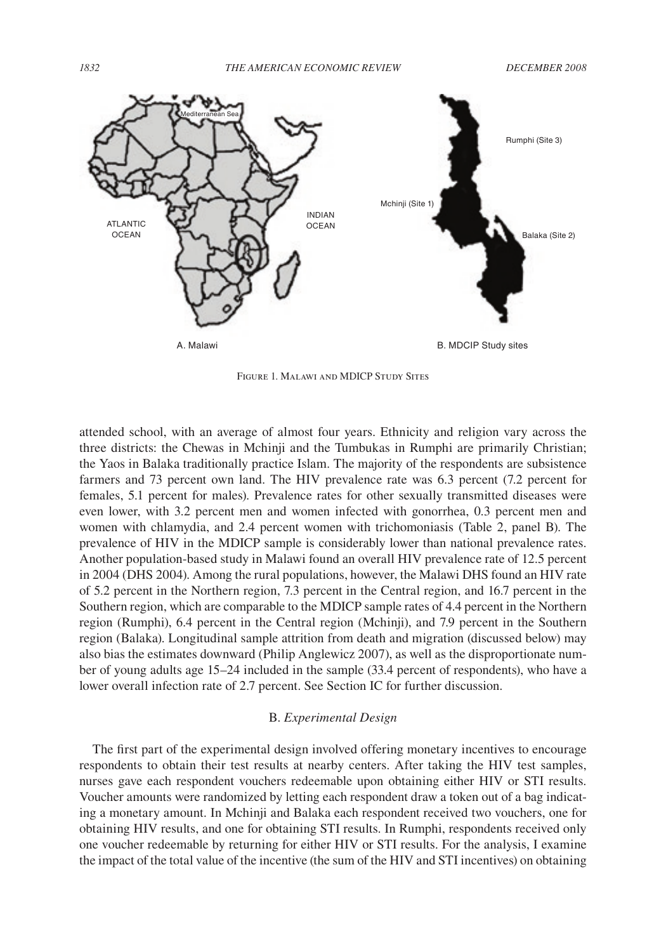

FIGURE 1. MALAWI AND MDICP STUDY SITES

attended school, with an average of almost four years. Ethnicity and religion vary across the three districts: the Chewas in Mchinji and the Tumbukas in Rumphi are primarily Christian; the Yaos in Balaka traditionally practice Islam. The majority of the respondents are subsistence farmers and 73 percent own land. The HIV prevalence rate was 6.3 percent (7.2 percent for females, 5.1 percent for males). Prevalence rates for other sexually transmitted diseases were even lower, with 3.2 percent men and women infected with gonorrhea, 0.3 percent men and women with chlamydia, and 2.4 percent women with trichomoniasis (Table 2, panel B). The prevalence of HIV in the MDICP sample is considerably lower than national prevalence rates. Another population-based study in Malawi found an overall HIV prevalence rate of 12.5 percent in 2004 (DHS 2004). Among the rural populations, however, the Malawi DHS found an HIV rate of 5.2 percent in the Northern region, 7.3 percent in the Central region, and 16.7 percent in the Southern region, which are comparable to the MDICP sample rates of 4.4 percent in the Northern region (Rumphi), 6.4 percent in the Central region (Mchinji), and 7.9 percent in the Southern region (Balaka). Longitudinal sample attrition from death and migration (discussed below) may also bias the estimates downward (Philip Anglewicz 2007), as well as the disproportionate number of young adults age 15–24 included in the sample (33.4 percent of respondents), who have a lower overall infection rate of 2.7 percent. See Section IC for further discussion.

## B. *Experimental Design*

The first part of the experimental design involved offering monetary incentives to encourage respondents to obtain their test results at nearby centers. After taking the HIV test samples, nurses gave each respondent vouchers redeemable upon obtaining either HIV or STI results. Voucher amounts were randomized by letting each respondent draw a token out of a bag indicating a monetary amount. In Mchinji and Balaka each respondent received two vouchers, one for obtaining HIV results, and one for obtaining STI results. In Rumphi, respondents received only one voucher redeemable by returning for either HIV or STI results. For the analysis, I examine the impact of the total value of the incentive (the sum of the HIV and STI incentives) on obtaining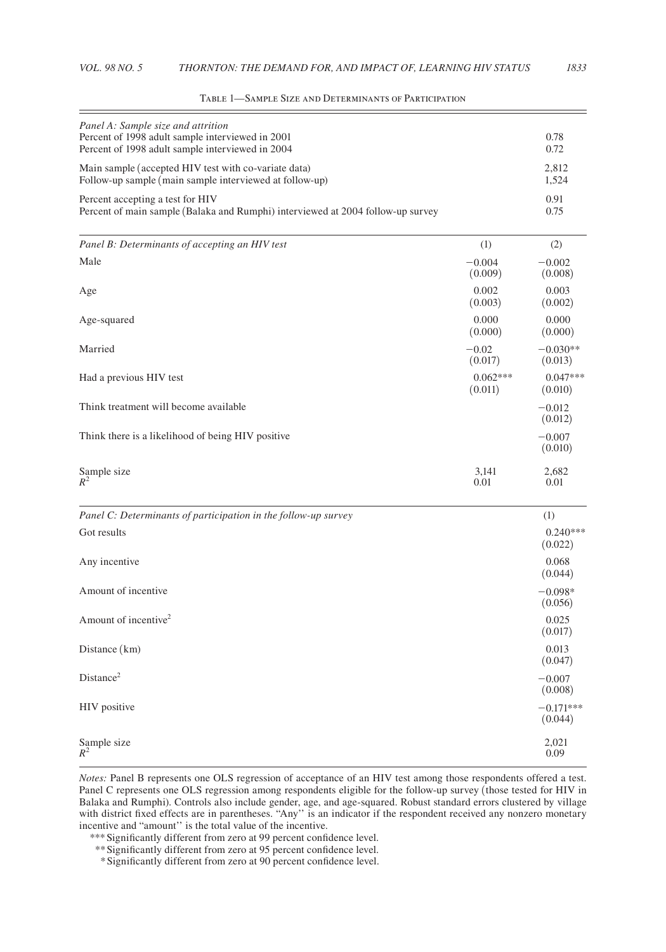| Panel A: Sample size and attrition<br>Percent of 1998 adult sample interviewed in 2001<br>Percent of 1998 adult sample interviewed in 2004 |                       | 0.78<br>0.72           |
|--------------------------------------------------------------------------------------------------------------------------------------------|-----------------------|------------------------|
| Main sample (accepted HIV test with co-variate data)<br>Follow-up sample (main sample interviewed at follow-up)                            |                       | 2,812<br>1,524         |
| Percent accepting a test for HIV<br>Percent of main sample (Balaka and Rumphi) interviewed at 2004 follow-up survey                        |                       | 0.91<br>0.75           |
| Panel B: Determinants of accepting an HIV test                                                                                             | (1)                   | (2)                    |
| Male                                                                                                                                       | $-0.004$<br>(0.009)   | $-0.002$<br>(0.008)    |
| Age                                                                                                                                        | 0.002<br>(0.003)      | 0.003<br>(0.002)       |
| Age-squared                                                                                                                                | 0.000<br>(0.000)      | 0.000<br>(0.000)       |
| Married                                                                                                                                    | $-0.02$<br>(0.017)    | $-0.030**$<br>(0.013)  |
| Had a previous HIV test                                                                                                                    | $0.062***$<br>(0.011) | $0.047***$<br>(0.010)  |
| Think treatment will become available                                                                                                      |                       | $-0.012$<br>(0.012)    |
| Think there is a likelihood of being HIV positive                                                                                          |                       | $-0.007$<br>(0.010)    |
| Sample size<br>$R^2$                                                                                                                       | 3,141<br>0.01         | 2,682<br>0.01          |
| Panel C: Determinants of participation in the follow-up survey                                                                             |                       | (1)                    |
| Got results                                                                                                                                |                       | $0.240***$<br>(0.022)  |
| Any incentive                                                                                                                              |                       | 0.068<br>(0.044)       |
| Amount of incentive                                                                                                                        |                       | $-0.098*$<br>(0.056)   |
| Amount of incentive <sup>2</sup>                                                                                                           |                       | 0.025<br>(0.017)       |
| Distance (km)                                                                                                                              |                       | 0.013<br>(0.047)       |
| Distance <sup>2</sup>                                                                                                                      |                       | $-0.007$<br>(0.008)    |
| HIV positive                                                                                                                               |                       | $-0.171***$<br>(0.044) |
| Sample size<br>$R^2$                                                                                                                       |                       | 2,021<br>0.09          |

Table 1—Sample Size and Determinants of Participation

*Notes:* Panel B represents one OLS regression of acceptance of an HIV test among those respondents offered a test. Panel C represents one OLS regression among respondents eligible for the follow-up survey (those tested for HIV in Balaka and Rumphi). Controls also include gender, age, and age-squared. Robust standard errors clustered by village with district fixed effects are in parentheses. "Any" is an indicator if the respondent received any nonzero monetary incentive and "amount'' is the total value of the incentive.

\*\*\* Significantly different from zero at 99 percent confidence level.

\*\* Significantly different from zero at 95 percent confidence level.

\*Significantly different from zero at 90 percent confidence level.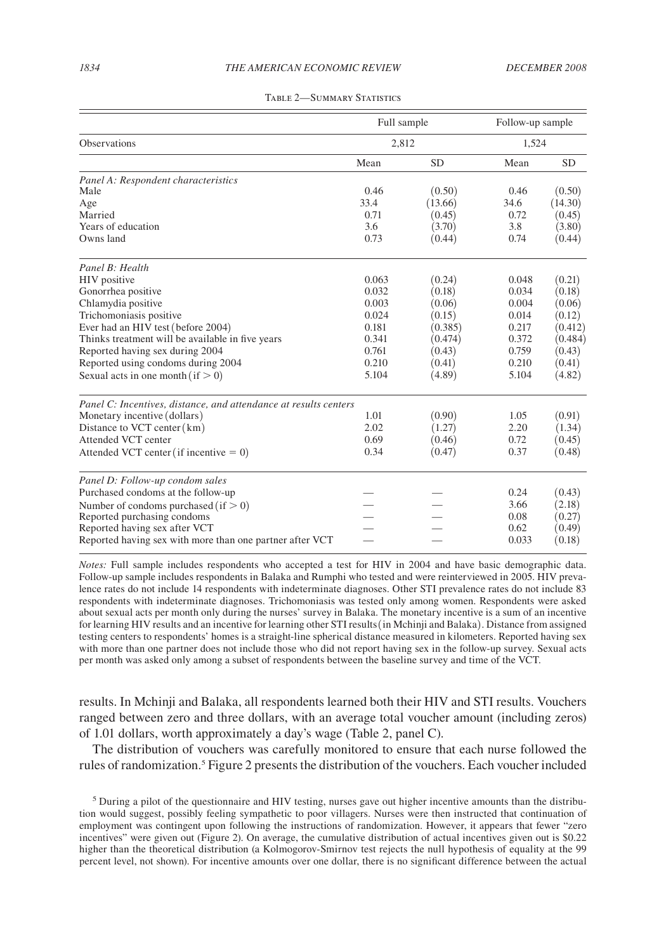#### *1834 THE AMERICAN ECONOMIC REVIEW december 2008*

|                                                                  | Full sample |           | Follow-up sample<br>1,524 |           |  |
|------------------------------------------------------------------|-------------|-----------|---------------------------|-----------|--|
| Observations                                                     | 2,812       |           |                           |           |  |
|                                                                  | Mean        | <b>SD</b> | Mean                      | <b>SD</b> |  |
| Panel A: Respondent characteristics                              |             |           |                           |           |  |
| Male                                                             | 0.46        | (0.50)    | 0.46                      | (0.50)    |  |
| Age                                                              | 33.4        | (13.66)   | 34.6                      | (14.30)   |  |
| Married                                                          | 0.71        | (0.45)    | 0.72                      | (0.45)    |  |
| Years of education                                               | 3.6         | (3.70)    | 3.8                       | (3.80)    |  |
| Owns land                                                        | 0.73        | (0.44)    | 0.74                      | (0.44)    |  |
| Panel B: Health                                                  |             |           |                           |           |  |
| HIV positive                                                     | 0.063       | (0.24)    | 0.048                     | (0.21)    |  |
| Gonorrhea positive                                               | 0.032       | (0.18)    | 0.034                     | (0.18)    |  |
| Chlamydia positive                                               | 0.003       | (0.06)    | 0.004                     | (0.06)    |  |
| Trichomoniasis positive                                          | 0.024       | (0.15)    | 0.014                     | (0.12)    |  |
| Ever had an HIV test (before 2004)                               | 0.181       | (0.385)   | 0.217                     | (0.412)   |  |
| Thinks treatment will be available in five years                 | 0.341       | (0.474)   | 0.372                     | (0.484)   |  |
| Reported having sex during 2004                                  | 0.761       | (0.43)    | 0.759                     | (0.43)    |  |
| Reported using condoms during 2004                               | 0.210       | (0.41)    | 0.210                     | (0.41)    |  |
| Sexual acts in one month (if $> 0$ )                             | 5.104       | (4.89)    | 5.104                     | (4.82)    |  |
| Panel C: Incentives, distance, and attendance at results centers |             |           |                           |           |  |
| Monetary incentive (dollars)                                     | 1.01        | (0.90)    | 1.05                      | (0.91)    |  |
| Distance to VCT center (km)                                      | 2.02        | (1.27)    | 2.20                      | (1.34)    |  |
| Attended VCT center                                              | 0.69        | (0.46)    | 0.72                      | (0.45)    |  |
| Attended VCT center (if incentive $= 0$ )                        | 0.34        | (0.47)    | 0.37                      | (0.48)    |  |
| Panel D: Follow-up condom sales                                  |             |           |                           |           |  |
| Purchased condoms at the follow-up                               |             |           | 0.24                      | (0.43)    |  |
| Number of condoms purchased (if $> 0$ )                          |             |           | 3.66                      | (2.18)    |  |
| Reported purchasing condoms                                      |             |           | 0.08                      | (0.27)    |  |
| Reported having sex after VCT                                    |             |           | 0.62                      | (0.49)    |  |
| Reported having sex with more than one partner after VCT         |             |           | 0.033                     | (0.18)    |  |
|                                                                  |             |           |                           |           |  |

#### Table 2—Summary Statistics

*Notes:* Full sample includes respondents who accepted a test for HIV in 2004 and have basic demographic data. Follow-up sample includes respondents in Balaka and Rumphi who tested and were reinterviewed in 2005. HIV prevalence rates do not include 14 respondents with indeterminate diagnoses. Other STI prevalence rates do not include 83 respondents with indeterminate diagnoses. Trichomoniasis was tested only among women. Respondents were asked about sexual acts per month only during the nurses' survey in Balaka. The monetary incentive is a sum of an incentive for learning HIV results and an incentive for learning other STI results (in Mchinji and Balaka). Distance from assigned testing centers to respondents' homes is a straight-line spherical distance measured in kilometers. Reported having sex with more than one partner does not include those who did not report having sex in the follow-up survey. Sexual acts per month was asked only among a subset of respondents between the baseline survey and time of the VCT.

results. In Mchinji and Balaka, all respondents learned both their HIV and STI results. Vouchers ranged between zero and three dollars, with an average total voucher amount (including zeros) of 1.01 dollars, worth approximately a day's wage (Table 2, panel C).

The distribution of vouchers was carefully monitored to ensure that each nurse followed the rules of randomization.<sup>5</sup> Figure 2 presents the distribution of the vouchers. Each voucher included

5 During a pilot of the questionnaire and HIV testing, nurses gave out higher incentive amounts than the distribution would suggest, possibly feeling sympathetic to poor villagers. Nurses were then instructed that continuation of employment was contingent upon following the instructions of randomization. However, it appears that fewer "zero incentives" were given out (Figure 2). On average, the cumulative distribution of actual incentives given out is \$0.22 higher than the theoretical distribution (a Kolmogorov-Smirnov test rejects the null hypothesis of equality at the 99 percent level, not shown). For incentive amounts over one dollar, there is no significant difference between the actual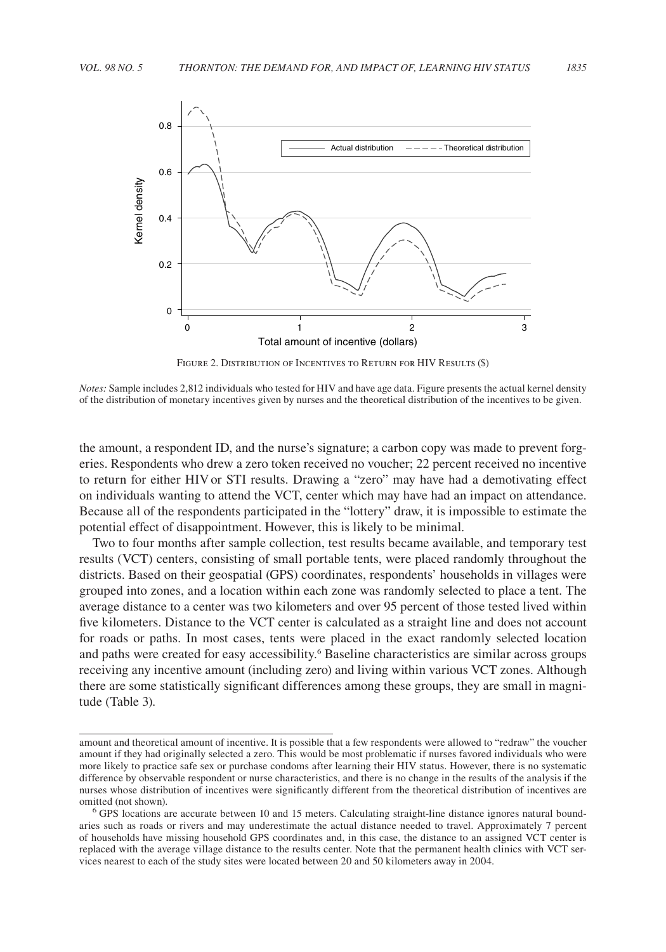

Figure 2. Distribution of Incentives to Return for HIV Results (\$)

*Notes:* Sample includes 2,812 individuals who tested for HIV and have age data. Figure presents the actual kernel density of the distribution of monetary incentives given by nurses and the theoretical distribution of the incentives to be given.

the amount, a respondent ID, and the nurse's signature; a carbon copy was made to prevent forgeries. Respondents who drew a zero token received no voucher; 22 percent received no incentive to return for either HIVor STI results. Drawing a "zero" may have had a demotivating effect on individuals wanting to attend the VCT, center which may have had an impact on attendance. Because all of the respondents participated in the "lottery" draw, it is impossible to estimate the potential effect of disappointment. However, this is likely to be minimal.

Two to four months after sample collection, test results became available, and temporary test results (VCT) centers, consisting of small portable tents, were placed randomly throughout the districts. Based on their geospatial (GPS) coordinates, respondents' households in villages were grouped into zones, and a location within each zone was randomly selected to place a tent. The average distance to a center was two kilometers and over 95 percent of those tested lived within five kilometers. Distance to the VCT center is calculated as a straight line and does not account for roads or paths. In most cases, tents were placed in the exact randomly selected location and paths were created for easy accessibility.<sup>6</sup> Baseline characteristics are similar across groups receiving any incentive amount (including zero) and living within various VCT zones. Although there are some statistically significant differences among these groups, they are small in magnitude (Table 3).

amount and theoretical amount of incentive. It is possible that a few respondents were allowed to "redraw" the voucher amount if they had originally selected a zero. This would be most problematic if nurses favored individuals who were more likely to practice safe sex or purchase condoms after learning their HIV status. However, there is no systematic difference by observable respondent or nurse characteristics, and there is no change in the results of the analysis if the nurses whose distribution of incentives were significantly different from the theoretical distribution of incentives are

omitted (not shown).<br><sup>6</sup> GPS locations are accurate between 10 and 15 meters. Calculating straight-line distance ignores natural boundaries such as roads or rivers and may underestimate the actual distance needed to travel. Approximately 7 percent of households have missing household GPS coordinates and, in this case, the distance to an assigned VCT center is replaced with the average village distance to the results center. Note that the permanent health clinics with VCT services nearest to each of the study sites were located between 20 and 50 kilometers away in 2004.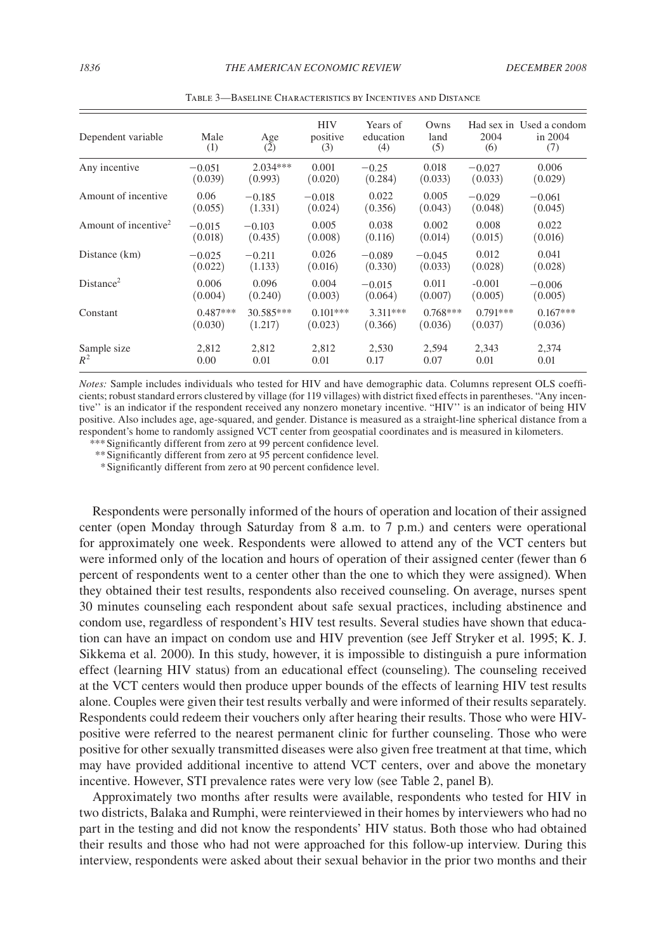| Dependent variable               | Male<br>(1) | Age<br>(2) | <b>HIV</b><br>positive<br>(3) | Years of<br>education<br>(4) | Owns<br>land<br>(5) | 2004<br>(6) | Had sex in Used a condom<br>in 2004<br>(7) |
|----------------------------------|-------------|------------|-------------------------------|------------------------------|---------------------|-------------|--------------------------------------------|
| Any incentive                    | $-0.051$    | $2.034***$ | 0.001                         | $-0.25$                      | 0.018               | $-0.027$    | 0.006                                      |
|                                  | (0.039)     | (0.993)    | (0.020)                       | (0.284)                      | (0.033)             | (0.033)     | (0.029)                                    |
| Amount of incentive              | 0.06        | $-0.185$   | $-0.018$                      | 0.022                        | 0.005               | $-0.029$    | $-0.061$                                   |
|                                  | (0.055)     | (1.331)    | (0.024)                       | (0.356)                      | (0.043)             | (0.048)     | (0.045)                                    |
| Amount of incentive <sup>2</sup> | $-0.015$    | $-0.103$   | 0.005                         | 0.038                        | 0.002               | 0.008       | 0.022                                      |
|                                  | (0.018)     | (0.435)    | (0.008)                       | (0.116)                      | (0.014)             | (0.015)     | (0.016)                                    |
| Distance (km)                    | $-0.025$    | $-0.211$   | 0.026                         | $-0.089$                     | $-0.045$            | 0.012       | 0.041                                      |
|                                  | (0.022)     | (1.133)    | (0.016)                       | (0.330)                      | (0.033)             | (0.028)     | (0.028)                                    |
| Distance <sup>2</sup>            | 0.006       | 0.096      | 0.004                         | $-0.015$                     | 0.011               | $-0.001$    | $-0.006$                                   |
|                                  | (0.004)     | (0.240)    | (0.003)                       | (0.064)                      | (0.007)             | (0.005)     | (0.005)                                    |
| Constant                         | $0.487***$  | 30.585***  | $0.101***$                    | $3.311***$                   | $0.768***$          | $0.791***$  | $0.167***$                                 |
|                                  | (0.030)     | (1.217)    | (0.023)                       | (0.366)                      | (0.036)             | (0.037)     | (0.036)                                    |
| Sample size                      | 2.812       | 2.812      | 2.812                         | 2.530                        | 2.594               | 2.343       | 2.374                                      |
| $R^2$                            | 0.00        | 0.01       | 0.01                          | 0.17                         | 0.07                | 0.01        | 0.01                                       |

Table 3—Baseline Characteristics by Incentives and Distance

*Notes:* Sample includes individuals who tested for HIV and have demographic data. Columns represent OLS coefficients; robust standard errors clustered by village (for 119 villages) with district fixed effects in parentheses. "Any incentive'' is an indicator if the respondent received any nonzero monetary incentive. "HIV'' is an indicator of being HIV positive. Also includes age, age-squared, and gender. Distance is measured as a straight-line spherical distance from a respondent's home to randomly assigned VCT center from geospatial coordinates and is measured in kilometers.

\*\*\*Significantly different from zero at 99 percent confidence level.

\*\*Significantly different from zero at 95 percent confidence level.

\*Significantly different from zero at 90 percent confidence level.

Respondents were personally informed of the hours of operation and location of their assigned center (open Monday through Saturday from 8 a.m. to  $7$  p.m.) and centers were operational for approximately one week. Respondents were allowed to attend any of the VCT centers but were informed only of the location and hours of operation of their assigned center (fewer than 6 percent of respondents went to a center other than the one to which they were assigned). When they obtained their test results, respondents also received counseling. On average, nurses spent 30 minutes counseling each respondent about safe sexual practices, including abstinence and condom use, regardless of respondent's HIV test results. Several studies have shown that education can have an impact on condom use and HIV prevention (see Jeff Stryker et al. 1995; K. J. Sikkema et al. 2000). In this study, however, it is impossible to distinguish a pure information effect (learning HIV status) from an educational effect (counseling). The counseling received at the VCT centers would then produce upper bounds of the effects of learning HIV test results alone. Couples were given their test results verbally and were informed of their results separately. Respondents could redeem their vouchers only after hearing their results. Those who were HIVpositive were referred to the nearest permanent clinic for further counseling. Those who were positive for other sexually transmitted diseases were also given free treatment at that time, which may have provided additional incentive to attend VCT centers, over and above the monetary incentive. However, STI prevalence rates were very low (see Table 2, panel B).

Approximately two months after results were available, respondents who tested for HIV in two districts, Balaka and Rumphi, were reinterviewed in their homes by interviewers who had no part in the testing and did not know the respondents' HIV status. Both those who had obtained their results and those who had not were approached for this follow-up interview. During this interview, respondents were asked about their sexual behavior in the prior two months and their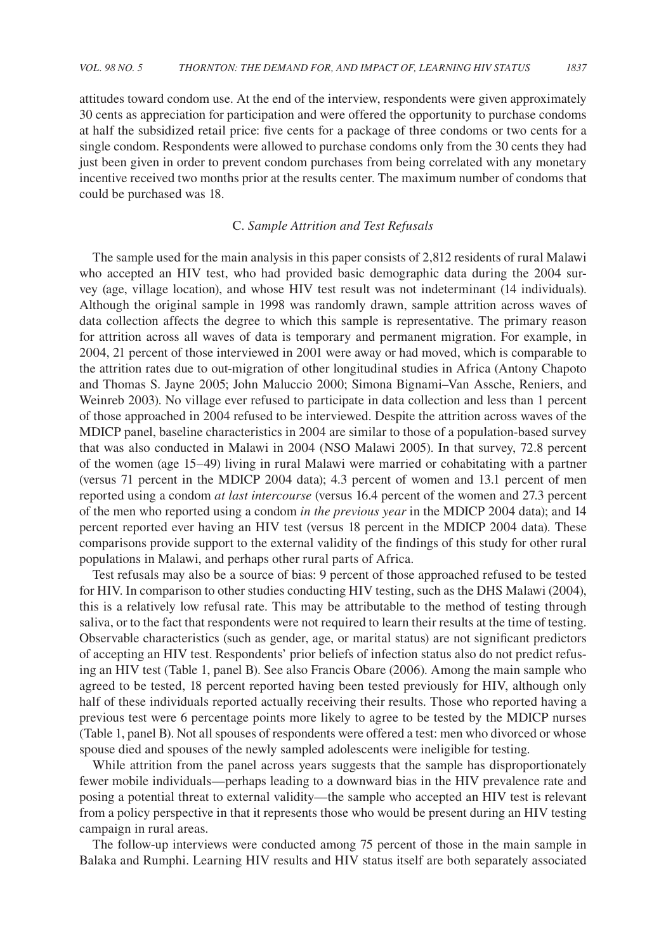attitudes toward condom use. At the end of the interview, respondents were given approximately 30 cents as appreciation for participation and were offered the opportunity to purchase condoms at half the subsidized retail price: five cents for a package of three condoms or two cents for a single condom. Respondents were allowed to purchase condoms only from the 30 cents they had just been given in order to prevent condom purchases from being correlated with any monetary incentive received two months prior at the results center. The maximum number of condoms that could be purchased was 18.

# C. *Sample Attrition and Test Refusals*

The sample used for the main analysis in this paper consists of 2,812 residents of rural Malawi who accepted an HIV test, who had provided basic demographic data during the 2004 survey (age, village location), and whose HIV test result was not indeterminant (14 individuals). Although the original sample in 1998 was randomly drawn, sample attrition across waves of data collection affects the degree to which this sample is representative. The primary reason for attrition across all waves of data is temporary and permanent migration. For example, in 2004, 21 percent of those interviewed in 2001 were away or had moved, which is comparable to the attrition rates due to out-migration of other longitudinal studies in Africa (Antony Chapoto and Thomas S. Jayne 2005; John Maluccio 2000; Simona Bignami–Van Assche, Reniers, and Weinreb 2003). No village ever refused to participate in data collection and less than 1 percent of those approached in 2004 refused to be interviewed. Despite the attrition across waves of the MDICP panel, baseline characteristics in 2004 are similar to those of a population-based survey that was also conducted in Malawi in 2004 (NSO Malawi 2005). In that survey, 72.8 percent of the women (age 15–49) living in rural Malawi were married or cohabitating with a partner (versus 71 percent in the MDICP 2004 data); 4.3 percent of women and 13.1 percent of men reported using a condom *at last intercourse* (versus 16.4 percent of the women and 27.3 percent of the men who reported using a condom *in the previous year* in the MDICP 2004 data); and 14 percent reported ever having an HIV test (versus 18 percent in the MDICP 2004 data). These comparisons provide support to the external validity of the findings of this study for other rural populations in Malawi, and perhaps other rural parts of Africa.

Test refusals may also be a source of bias: 9 percent of those approached refused to be tested for HIV. In comparison to other studies conducting HIV testing, such as the DHS Malawi (2004), this is a relatively low refusal rate. This may be attributable to the method of testing through saliva, or to the fact that respondents were not required to learn their results at the time of testing. Observable characteristics (such as gender, age, or marital status) are not significant predictors of accepting an HIV test. Respondents' prior beliefs of infection status also do not predict refusing an HIV test (Table 1, panel B). See also Francis Obare (2006). Among the main sample who agreed to be tested, 18 percent reported having been tested previously for HIV, although only half of these individuals reported actually receiving their results. Those who reported having a previous test were 6 percentage points more likely to agree to be tested by the MDICP nurses (Table 1, panel B). Not all spouses of respondents were offered a test: men who divorced or whose spouse died and spouses of the newly sampled adolescents were ineligible for testing.

While attrition from the panel across years suggests that the sample has disproportionately fewer mobile individuals—perhaps leading to a downward bias in the HIV prevalence rate and posing a potential threat to external validity—the sample who accepted an HIV test is relevant from a policy perspective in that it represents those who would be present during an HIV testing campaign in rural areas.

The follow-up interviews were conducted among 75 percent of those in the main sample in Balaka and Rumphi. Learning HIV results and HIV status itself are both separately associated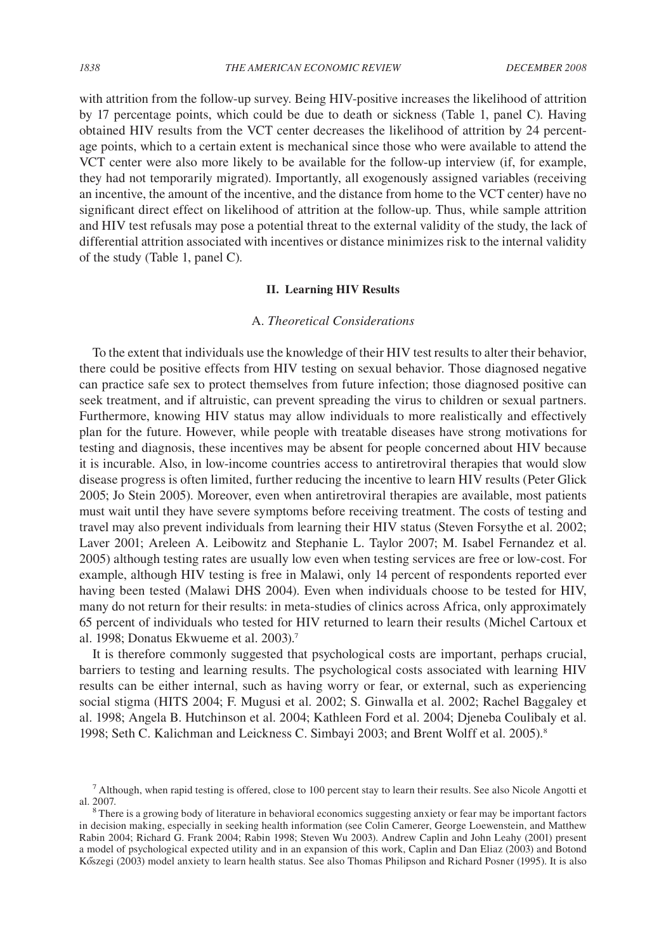with attrition from the follow-up survey. Being HIV-positive increases the likelihood of attrition by 17 percentage points, which could be due to death or sickness (Table 1, panel C). Having obtained HIV results from the VCT center decreases the likelihood of attrition by 24 percentage points, which to a certain extent is mechanical since those who were available to attend the VCT center were also more likely to be available for the follow-up interview (if, for example, they had not temporarily migrated). Importantly, all exogenously assigned variables (receiving an incentive, the amount of the incentive, and the distance from home to the VCT center) have no significant direct effect on likelihood of attrition at the follow-up. Thus, while sample attrition and HIV test refusals may pose a potential threat to the external validity of the study, the lack of differential attrition associated with incentives or distance minimizes risk to the internal validity of the study (Table 1, panel C).

#### **II. Learning HIV Results**

# A. *Theoretical Considerations*

To the extent that individuals use the knowledge of their HIV test results to alter their behavior, there could be positive effects from HIV testing on sexual behavior. Those diagnosed negative can practice safe sex to protect themselves from future infection; those diagnosed positive can seek treatment, and if altruistic, can prevent spreading the virus to children or sexual partners. Furthermore, knowing HIV status may allow individuals to more realistically and effectively plan for the future. However, while people with treatable diseases have strong motivations for testing and diagnosis, these incentives may be absent for people concerned about HIV because it is incurable. Also, in low-income countries access to antiretroviral therapies that would slow disease progress is often limited, further reducing the incentive to learn HIV results (Peter Glick 2005; Jo Stein 2005). Moreover, even when antiretroviral therapies are available, most patients must wait until they have severe symptoms before receiving treatment. The costs of testing and travel may also prevent individuals from learning their HIV status (Steven Forsythe et al. 2002; Laver 2001; Areleen A. Leibowitz and Stephanie L. Taylor 2007; M. Isabel Fernandez et al. 2005) although testing rates are usually low even when testing services are free or low-cost. For example, although HIV testing is free in Malawi, only 14 percent of respondents reported ever having been tested (Malawi DHS 2004). Even when individuals choose to be tested for HIV, many do not return for their results: in meta-studies of clinics across Africa, only approximately 65 percent of individuals who tested for HIV returned to learn their results (Michel Cartoux et al. 1998; Donatus Ekwueme et al. 2003).7

It is therefore commonly suggested that psychological costs are important, perhaps crucial, barriers to testing and learning results. The psychological costs associated with learning HIV results can be either internal, such as having worry or fear, or external, such as experiencing social stigma (HITS 2004; F. Mugusi et al. 2002; S. Ginwalla et al. 2002; Rachel Baggaley et al. 1998; Angela B. Hutchinson et al. 2004; Kathleen Ford et al. 2004; Djeneba Coulibaly et al. 1998; Seth C. Kalichman and Leickness C. Simbayi 2003; and Brent Wolff et al. 2005).<sup>8</sup>

<sup>7</sup> Although, when rapid testing is offered, close to 100 percent stay to learn their results. See also Nicole Angotti et al. 2007.<br><sup>8</sup> There is a growing body of literature in behavioral economics suggesting anxiety or fear may be important factors

in decision making, especially in seeking health information (see Colin Camerer, George Loewenstein, and Matthew Rabin 2004; Richard G. Frank 2004; Rabin 1998; Steven Wu 2003). Andrew Caplin and John Leahy (2001) present a model of psychological expected utility and in an expansion of this work, Caplin and Dan Eliaz (2003) and Botond Kőszegi (2003) model anxiety to learn health status. See also Thomas Philipson and Richard Posner (1995). It is also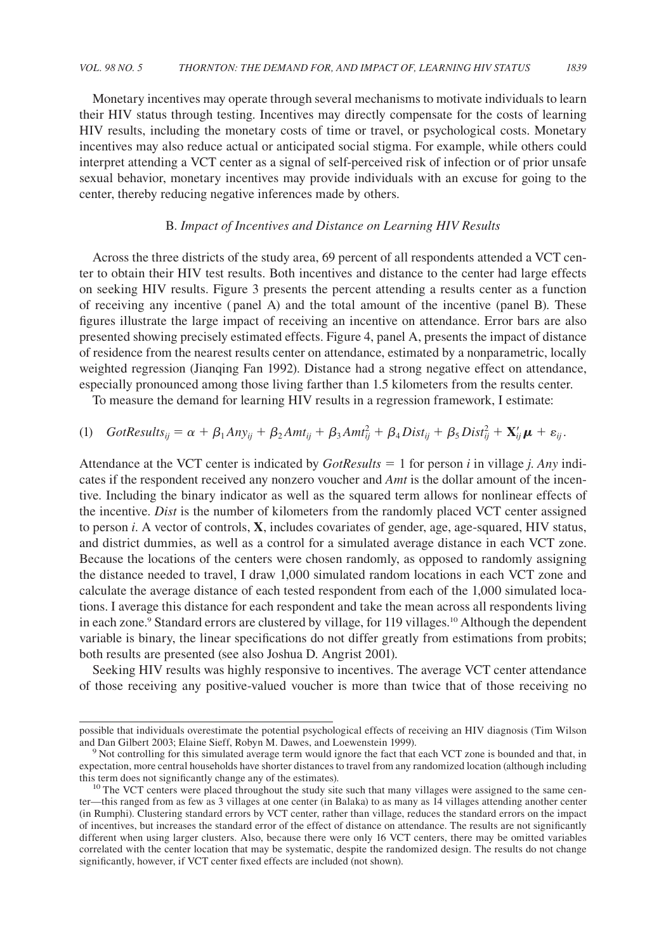Monetary incentives may operate through several mechanisms to motivate individuals to learn their HIV status through testing. Incentives may directly compensate for the costs of learning HIV results, including the monetary costs of time or travel, or psychological costs. Monetary incentives may also reduce actual or anticipated social stigma. For example, while others could interpret attending a VCT center as a signal of self-perceived risk of infection or of prior unsafe sexual behavior, monetary incentives may provide individuals with an excuse for going to the center, thereby reducing negative inferences made by others.

# B. *Impact of Incentives and Distance on Learning HIV Results*

Across the three districts of the study area, 69 percent of all respondents attended a VCT center to obtain their HIV test results. Both incentives and distance to the center had large effects on seeking HIV results. Figure 3 presents the percent attending a results center as a function of receiving any incentive ( panel A) and the total amount of the incentive (panel B). These figures illustrate the large impact of receiving an incentive on attendance. Error bars are also presented showing precisely estimated effects. Figure 4, panel A, presents the impact of distance of residence from the nearest results center on attendance, estimated by a nonparametric, locally weighted regression (Jianqing Fan 1992). Distance had a strong negative effect on attendance, especially pronounced among those living farther than 1.5 kilometers from the results center.

To measure the demand for learning HIV results in a regression framework, I estimate:

(1) 
$$
GotResults_{ij} = \alpha + \beta_1 Any_{ij} + \beta_2 Amt_{ij} + \beta_3 Amt_{ij}^2 + \beta_4 Dist_{ij} + \beta_5 Dist_{ij}^2 + \mathbf{X}_{ij}' \boldsymbol{\mu} + \boldsymbol{\varepsilon}_{ij}.
$$

Attendance at the VCT center is indicated by  $GotResults = 1$  for person *i* in village *j*. Any indicates if the respondent received any nonzero voucher and *Amt* is the dollar amount of the incentive. Including the binary indicator as well as the squared term allows for nonlinear effects of the incentive. *Dist* is the number of kilometers from the randomly placed VCT center assigned to person *i*. A vector of controls, **X**, includes covariates of gender, age, age-squared, HIV status, and district dummies, as well as a control for a simulated average distance in each VCT zone. Because the locations of the centers were chosen randomly, as opposed to randomly assigning the distance needed to travel, I draw 1,000 simulated random locations in each VCT zone and calculate the average distance of each tested respondent from each of the 1,000 simulated locations. I average this distance for each respondent and take the mean across all respondents living in each zone.<sup>9</sup> Standard errors are clustered by village, for 119 villages.<sup>10</sup> Although the dependent variable is binary, the linear specifications do not differ greatly from estimations from probits; both results are presented (see also Joshua D. Angrist 2001).

Seeking HIV results was highly responsive to incentives. The average VCT center attendance of those receiving any positive-valued voucher is more than twice that of those receiving no

possible that individuals overestimate the potential psychological effects of receiving an HIV diagnosis (Tim Wilson and Dan Gilbert 2003; Elaine Sieff, Robyn M. Dawes, and Loewenstein 1999). <sup>9</sup> Not controlling for this simulated average term would ignore the fact that each VCT zone is bounded and that, in

expectation, more central households have shorter distances to travel from any randomized location (although including this term does not significantly change any of the estimates).<br><sup>10</sup> The VCT centers were placed throughout the study site such that many villages were assigned to the same cen-

ter—this ranged from as few as 3 villages at one center (in Balaka) to as many as 14 villages attending another center (in Rumphi). Clustering standard errors by VCT center, rather than village, reduces the standard errors on the impact of incentives, but increases the standard error of the effect of distance on attendance. The results are not significantly different when using larger clusters. Also, because there were only 16 VCT centers, there may be omitted variables correlated with the center location that may be systematic, despite the randomized design. The results do not change significantly, however, if VCT center fixed effects are included (not shown).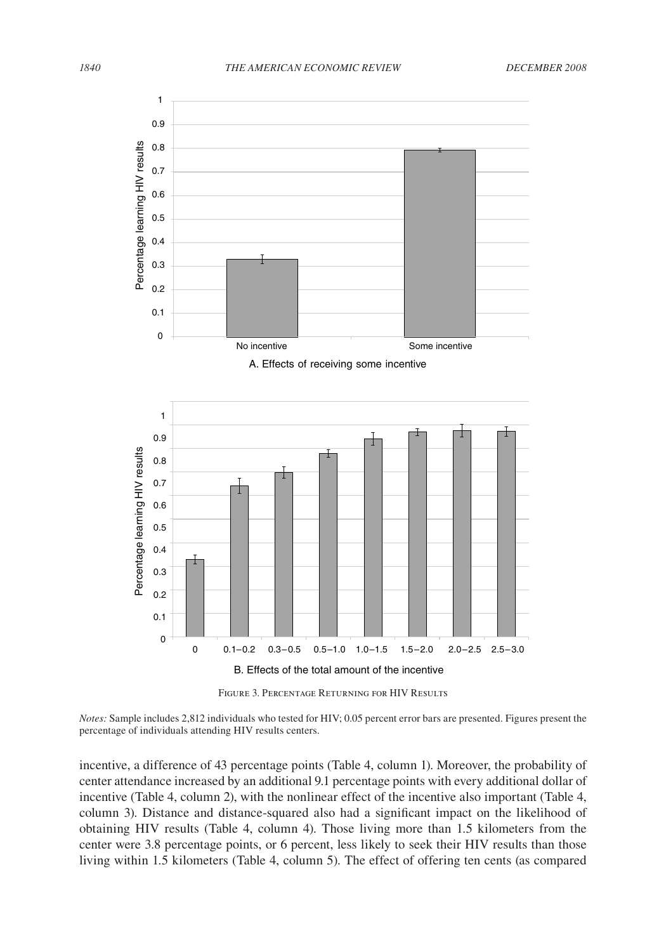

Figure 3. Percentage Returning for HIV Results

*Notes:* Sample includes 2,812 individuals who tested for HIV; 0.05 percent error bars are presented. Figures present the percentage of individuals attending HIV results centers.

incentive, a difference of 43 percentage points (Table 4, column 1). Moreover, the probability of center attendance increased by an additional 9.1 percentage points with every additional dollar of incentive (Table 4, column 2), with the nonlinear effect of the incentive also important (Table 4, column 3). Distance and distance-squared also had a significant impact on the likelihood of obtaining HIV results (Table 4, column 4). Those living more than 1.5 kilometers from the center were 3.8 percentage points, or 6 percent, less likely to seek their HIV results than those living within 1.5 kilometers (Table 4, column 5). The effect of offering ten cents (as compared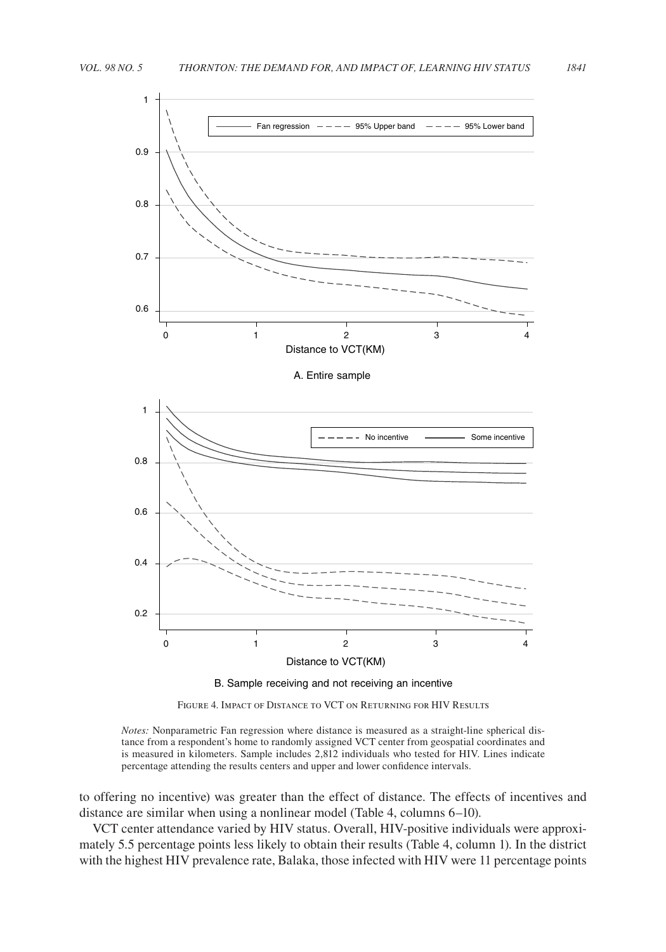





*Notes:* Nonparametric Fan regression where distance is measured as a straight-line spherical distance from a respondent's home to randomly assigned VCT center from geospatial coordinates and is measured in kilometers. Sample includes 2,812 individuals who tested for HIV. Lines indicate percentage attending the results centers and upper and lower confidence intervals.

to offering no incentive) was greater than the effect of distance. The effects of incentives and distance are similar when using a nonlinear model (Table 4, columns 6–10).

VCT center attendance varied by HIV status. Overall, HIV-positive individuals were approximately 5.5 percentage points less likely to obtain their results (Table 4, column 1). In the district with the highest HIV prevalence rate, Balaka, those infected with HIV were 11 percentage points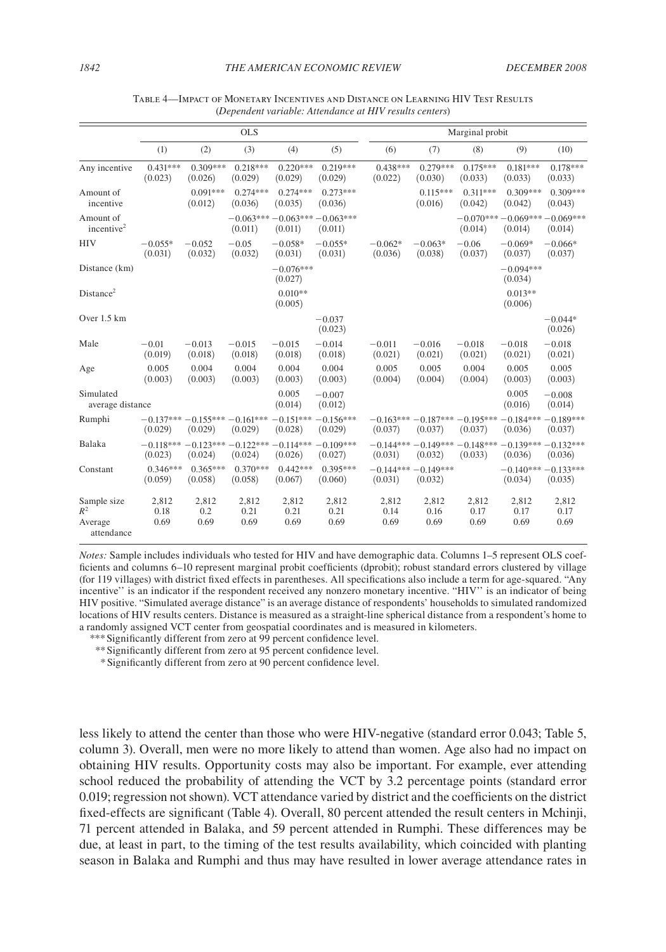|                                               |                        |                                                | <b>OLS</b>                      |                                   |                        |                        |                                          | Marginal probit                 |                                 |                        |
|-----------------------------------------------|------------------------|------------------------------------------------|---------------------------------|-----------------------------------|------------------------|------------------------|------------------------------------------|---------------------------------|---------------------------------|------------------------|
|                                               | (1)                    | (2)                                            | (3)                             | (4)                               | (5)                    | (6)                    | (7)                                      | (8)                             | (9)                             | (10)                   |
| Any incentive                                 | $0.431***$<br>(0.023)  | $0.309***$<br>(0.026)                          | $0.218***$<br>(0.029)           | $0.220***$<br>(0.029)             | $0.219***$<br>(0.029)  | $0.438***$<br>(0.022)  | $0.279***$<br>(0.030)                    | $0.175***$<br>(0.033)           | $0.181***$<br>(0.033)           | $0.178***$<br>(0.033)  |
| Amount of<br>incentive                        |                        | $0.091***$<br>(0.012)                          | $0.274***$<br>(0.036)           | $0.274***$<br>(0.035)             | $0.273***$<br>(0.036)  |                        | $0.115***$<br>(0.016)                    | $0.311***$<br>(0.042)           | $0.309***$<br>(0.042)           | $0.309***$<br>(0.043)  |
| Amount of<br>incentive <sup>2</sup>           |                        |                                                | $-0.063***$<br>(0.011)          | $-0.063***$<br>(0.011)            | $-0.063***$<br>(0.011) |                        |                                          | (0.014)                         | $-0.070***-0.069***$<br>(0.014) | $-0.069***$<br>(0.014) |
| <b>HIV</b>                                    | $-0.055*$<br>(0.031)   | $-0.052$<br>(0.032)                            | $-0.05$<br>(0.032)              | $-0.058*$<br>(0.031)              | $-0.055*$<br>(0.031)   | $-0.062*$<br>(0.036)   | $-0.063*$<br>(0.038)                     | $-0.06$<br>(0.037)              | $-0.069*$<br>(0.037)            | $-0.066*$<br>(0.037)   |
| Distance (km)                                 |                        |                                                |                                 | $-0.076***$<br>(0.027)            |                        |                        |                                          |                                 | $-0.094***$<br>(0.034)          |                        |
| Distance <sup>2</sup>                         |                        |                                                |                                 | $0.010**$<br>(0.005)              |                        |                        |                                          |                                 | $0.013**$<br>(0.006)            |                        |
| Over 1.5 km                                   |                        |                                                |                                 |                                   | $-0.037$<br>(0.023)    |                        |                                          |                                 |                                 | $-0.044*$<br>(0.026)   |
| Male                                          | $-0.01$<br>(0.019)     | $-0.013$<br>(0.018)                            | $-0.015$<br>(0.018)             | $-0.015$<br>(0.018)               | $-0.014$<br>(0.018)    | $-0.011$<br>(0.021)    | $-0.016$<br>(0.021)                      | $-0.018$<br>(0.021)             | $-0.018$<br>(0.021)             | $-0.018$<br>(0.021)    |
| Age                                           | 0.005<br>(0.003)       | 0.004<br>(0.003)                               | 0.004<br>(0.003)                | 0.004<br>(0.003)                  | 0.004<br>(0.003)       | 0.005<br>(0.004)       | 0.005<br>(0.004)                         | 0.004<br>(0.004)                | 0.005<br>(0.003)                | 0.005<br>(0.003)       |
| Simulated<br>average distance                 |                        |                                                |                                 | 0.005<br>(0.014)                  | $-0.007$<br>(0.012)    |                        |                                          |                                 | 0.005<br>(0.016)                | $-0.008$<br>(0.014)    |
| Rumphi                                        | (0.029)                | $-0.137***$ $-0.155***$ $-0.161***$<br>(0.029) | (0.029)                         | $-0.151***$<br>(0.028)            | $-0.156***$<br>(0.029) | (0.037)                | $-0.163***-0.187***-0.195***$<br>(0.037) | (0.037)                         | $-0.184***$<br>(0.036)          | $-0.189***$<br>(0.037) |
| Balaka                                        | $-0.118***$<br>(0.023) | (0.024)                                        | $-0.123***-0.122***$<br>(0.024) | $-0.114*** - 0.109***$<br>(0.026) | (0.027)                | $-0.144***$<br>(0.031) | (0.032)                                  | $-0.149***-0.148***$<br>(0.033) | $-0.139***-0.132***$<br>(0.036) | (0.036)                |
| Constant                                      | $0.346***$<br>(0.059)  | $0.365***$<br>(0.058)                          | $0.370***$<br>(0.058)           | $0.442***$<br>(0.067)             | $0.395***$<br>(0.060)  | (0.031)                | $-0.144***-0.149***$<br>(0.032)          |                                 | $-0.140***-0.133***$<br>(0.034) | (0.035)                |
| Sample size<br>$R^2$<br>Average<br>attendance | 2,812<br>0.18<br>0.69  | 2,812<br>0.2<br>0.69                           | 2,812<br>0.21<br>0.69           | 2,812<br>0.21<br>0.69             | 2,812<br>0.21<br>0.69  | 2,812<br>0.14<br>0.69  | 2,812<br>0.16<br>0.69                    | 2,812<br>0.17<br>0.69           | 2,812<br>0.17<br>0.69           | 2,812<br>0.17<br>0.69  |

Table 4—Impact of Monetary Incentives and Distance on Learning HIV Test Results (*Dependent variable: Attendance at HIV results centers*)

*Notes:* Sample includes individuals who tested for HIV and have demographic data. Columns 1–5 represent OLS coefficients and columns 6–10 represent marginal probit coefficients (dprobit); robust standard errors clustered by village (for 119 villages) with district fixed effects in parentheses. All specifications also include a term for age-squared. "Any incentive'' is an indicator if the respondent received any nonzero monetary incentive. "HIV'' is an indicator of being HIV positive. "Simulated average distance" is an average distance of respondents' households to simulated randomized locations of HIV results centers. Distance is measured as a straight-line spherical distance from a respondent's home to a randomly assigned VCT center from geospatial coordinates and is measured in kilometers.

\*\*\* Significantly different from zero at 99 percent confidence level.

\*\* Significantly different from zero at 95 percent confidence level.

\*Significantly different from zero at 90 percent confidence level.

less likely to attend the center than those who were HIV-negative (standard error 0.043; Table 5, column 3). Overall, men were no more likely to attend than women. Age also had no impact on obtaining HIV results. Opportunity costs may also be important. For example, ever attending school reduced the probability of attending the VCT by 3.2 percentage points (standard error 0.019; regression not shown). VCT attendance varied by district and the coefficients on the district fixed-effects are significant (Table 4). Overall, 80 percent attended the result centers in Mchinji, 71 percent attended in Balaka, and 59 percent attended in Rumphi. These differences may be due, at least in part, to the timing of the test results availability, which coincided with planting season in Balaka and Rumphi and thus may have resulted in lower average attendance rates in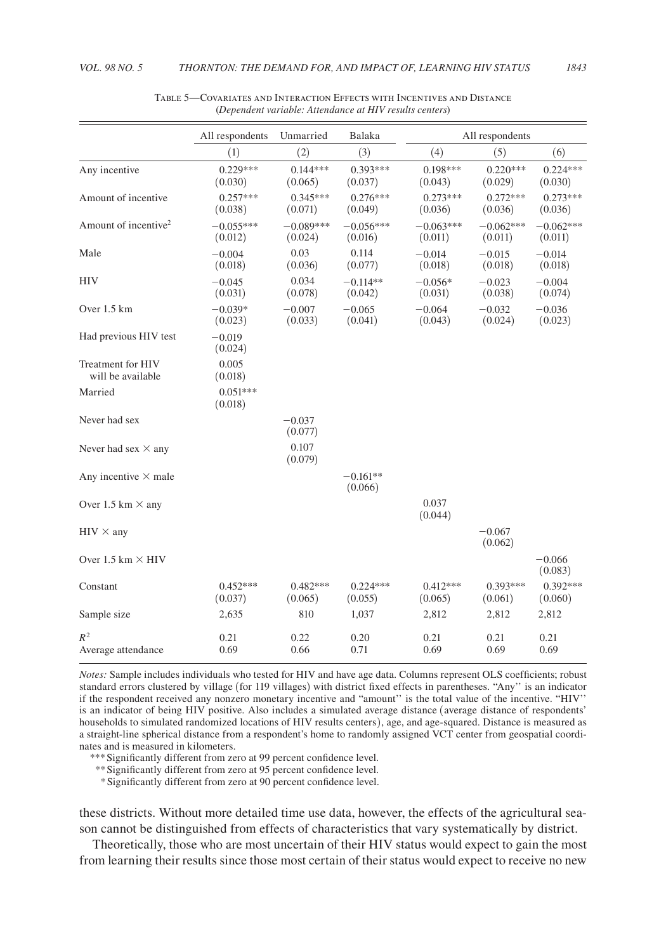|                                        | All respondents        | Unmarried              | Balaka                 | All respondents        |                        |                        |  |
|----------------------------------------|------------------------|------------------------|------------------------|------------------------|------------------------|------------------------|--|
|                                        | (1)                    | (2)                    | (3)                    | (4)                    | (5)                    | (6)                    |  |
| Any incentive                          | $0.229***$<br>(0.030)  | $0.144***$<br>(0.065)  | $0.393***$<br>(0.037)  | $0.198***$<br>(0.043)  | $0.220***$<br>(0.029)  | $0.224***$<br>(0.030)  |  |
| Amount of incentive                    | $0.257***$<br>(0.038)  | $0.345***$<br>(0.071)  | $0.276***$<br>(0.049)  | $0.273***$<br>(0.036)  | $0.272***$<br>(0.036)  | $0.273***$<br>(0.036)  |  |
| Amount of incentive <sup>2</sup>       | $-0.055***$<br>(0.012) | $-0.089***$<br>(0.024) | $-0.056***$<br>(0.016) | $-0.063***$<br>(0.011) | $-0.062***$<br>(0.011) | $-0.062***$<br>(0.011) |  |
| Male                                   | $-0.004$<br>(0.018)    | 0.03<br>(0.036)        | 0.114<br>(0.077)       | $-0.014$<br>(0.018)    | $-0.015$<br>(0.018)    | $-0.014$<br>(0.018)    |  |
| <b>HIV</b>                             | $-0.045$<br>(0.031)    | 0.034<br>(0.078)       | $-0.114**$<br>(0.042)  | $-0.056*$<br>(0.031)   | $-0.023$<br>(0.038)    | $-0.004$<br>(0.074)    |  |
| Over 1.5 km                            | $-0.039*$<br>(0.023)   | $-0.007$<br>(0.033)    | $-0.065$<br>(0.041)    | $-0.064$<br>(0.043)    | $-0.032$<br>(0.024)    | $-0.036$<br>(0.023)    |  |
| Had previous HIV test                  | $-0.019$<br>(0.024)    |                        |                        |                        |                        |                        |  |
| Treatment for HIV<br>will be available | 0.005<br>(0.018)       |                        |                        |                        |                        |                        |  |
| Married                                | $0.051***$<br>(0.018)  |                        |                        |                        |                        |                        |  |
| Never had sex                          |                        | $-0.037$<br>(0.077)    |                        |                        |                        |                        |  |
| Never had sex $\times$ any             |                        | 0.107<br>(0.079)       |                        |                        |                        |                        |  |
| Any incentive $\times$ male            |                        |                        | $-0.161**$<br>(0.066)  |                        |                        |                        |  |
| Over 1.5 km $\times$ any               |                        |                        |                        | 0.037<br>(0.044)       |                        |                        |  |
| $HIV \times any$                       |                        |                        |                        |                        | $-0.067$<br>(0.062)    |                        |  |
| Over 1.5 km $\times$ HIV               |                        |                        |                        |                        |                        | $-0.066$<br>(0.083)    |  |
| Constant                               | $0.452***$<br>(0.037)  | $0.482***$<br>(0.065)  | $0.224***$<br>(0.055)  | $0.412***$<br>(0.065)  | $0.393***$<br>(0.061)  | $0.392***$<br>(0.060)  |  |
| Sample size                            | 2,635                  | 810                    | 1,037                  | 2,812                  | 2,812                  | 2,812                  |  |
| $R^2$<br>Average attendance            | 0.21<br>0.69           | 0.22<br>0.66           | 0.20<br>0.71           | 0.21<br>0.69           | 0.21<br>0.69           | 0.21<br>0.69           |  |

Table 5—Covariates and Interaction Effects with Incentives and Distance (*Dependent variable: Attendance at HIV results centers*)

*Notes:* Sample includes individuals who tested for HIV and have age data. Columns represent OLS coefficients; robust standard errors clustered by village (for 119 villages) with district fixed effects in parentheses. "Any" is an indicator if the respondent received any nonzero monetary incentive and "amount'' is the total value of the incentive. "HIV'' is an indicator of being HIV positive. Also includes a simulated average distance (average distance of respondents' households to simulated randomized locations of HIV results centers), age, and age-squared. Distance is measured as a straight-line spherical distance from a respondent's home to randomly assigned VCT center from geospatial coordinates and is measured in kilometers.

\*\*\* Significantly different from zero at 99 percent confidence level.

\*\*Significantly different from zero at 95 percent confidence level.

\*Significantly different from zero at 90 percent confidence level.

these districts. Without more detailed time use data, however, the effects of the agricultural season cannot be distinguished from effects of characteristics that vary systematically by district.

Theoretically, those who are most uncertain of their HIV status would expect to gain the most from learning their results since those most certain of their status would expect to receive no new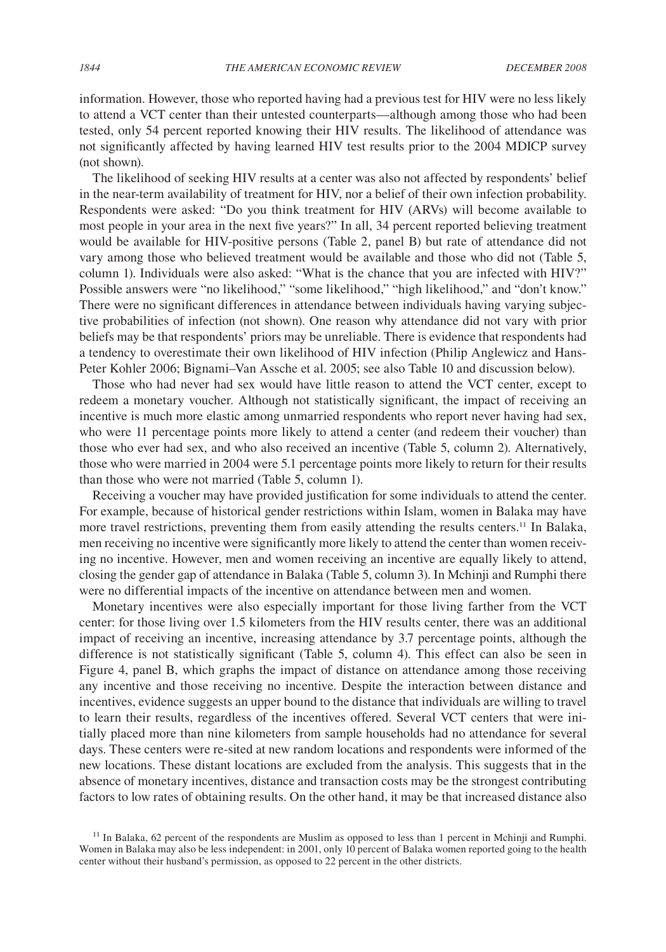information. However, those who reported having had a previous test for HIV were no less likely to attend a VCT center than their untested counterparts—although among those who had been tested, only 54 percent reported knowing their HIV results. The likelihood of attendance was not significantly affected by having learned HIV test results prior to the 2004 MDICP survey (not shown).

The likelihood of seeking HIV results at a center was also not affected by respondents' belief in the near-term availability of treatment for HIV, nor a belief of their own infection probability. Respondents were asked: "Do you think treatment for HIV (ARVs) will become available to most people in your area in the next five years?" In all, 34 percent reported believing treatment would be available for HIV-positive persons (Table 2, panel B) but rate of attendance did not vary among those who believed treatment would be available and those who did not (Table 5, column 1). Individuals were also asked: "What is the chance that you are infected with HIV?" Possible answers were "no likelihood," "some likelihood," "high likelihood," and "don't know." There were no significant differences in attendance between individuals having varying subjective probabilities of infection (not shown). One reason why attendance did not vary with prior beliefs may be that respondents' priors may be unreliable. There is evidence that respondents had a tendency to overestimate their own likelihood of HIV infection (Philip Anglewicz and Hans-Peter Kohler 2006; Bignami–Van Assche et al. 2005; see also Table 10 and discussion below).

Those who had never had sex would have little reason to attend the VCT center, except to redeem a monetary voucher. Although not statistically significant, the impact of receiving an incentive is much more elastic among unmarried respondents who report never having had sex, who were 11 percentage points more likely to attend a center (and redeem their voucher) than those who ever had sex, and who also received an incentive (Table 5, column 2). Alternatively, those who were married in 2004 were 5.1 percentage points more likely to return for their results than those who were not married (Table 5, column 1).

Receiving a voucher may have provided justification for some individuals to attend the center. For example, because of historical gender restrictions within Islam, women in Balaka may have more travel restrictions, preventing them from easily attending the results centers.<sup>11</sup> In Balaka, men receiving no incentive were significantly more likely to attend the center than women receiving no incentive. However, men and women receiving an incentive are equally likely to attend, closing the gender gap of attendance in Balaka (Table 5, column 3). In Mchinji and Rumphi there were no differential impacts of the incentive on attendance between men and women.

Monetary incentives were also especially important for those living farther from the VCT center: for those living over 1.5 kilometers from the HIV results center, there was an additional impact of receiving an incentive, increasing attendance by 3.7 percentage points, although the difference is not statistically significant (Table 5, column 4). This effect can also be seen in Figure 4, panel B, which graphs the impact of distance on attendance among those receiving any incentive and those receiving no incentive. Despite the interaction between distance and incentives, evidence suggests an upper bound to the distance that individuals are willing to travel to learn their results, regardless of the incentives offered. Several VCT centers that were initially placed more than nine kilometers from sample households had no attendance for several days. These centers were re-sited at new random locations and respondents were informed of the new locations. These distant locations are excluded from the analysis. This suggests that in the absence of monetary incentives, distance and transaction costs may be the strongest contributing factors to low rates of obtaining results. On the other hand, it may be that increased distance also

<sup>&</sup>lt;sup>11</sup> In Balaka, 62 percent of the respondents are Muslim as opposed to less than 1 percent in Mchinji and Rumphi. Women in Balaka may also be less independent: in 2001, only 10 percent of Balaka women reported going to the health center without their husband's permission, as opposed to 22 percent in the other districts.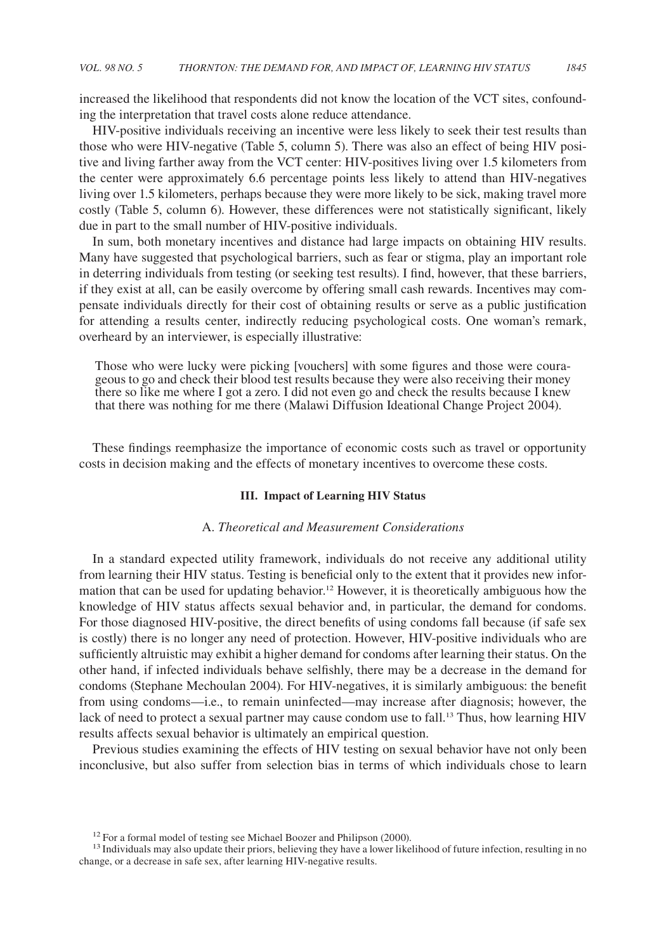increased the likelihood that respondents did not know the location of the VCT sites, confounding the interpretation that travel costs alone reduce attendance.

HIV-positive individuals receiving an incentive were less likely to seek their test results than those who were HIV-negative (Table 5, column 5). There was also an effect of being HIV positive and living farther away from the VCT center: HIV-positives living over 1.5 kilometers from the center were approximately 6.6 percentage points less likely to attend than HIV-negatives living over 1.5 kilometers, perhaps because they were more likely to be sick, making travel more costly (Table 5, column 6). However, these differences were not statistically significant, likely due in part to the small number of HIV-positive individuals.

In sum, both monetary incentives and distance had large impacts on obtaining HIV results. Many have suggested that psychological barriers, such as fear or stigma, play an important role in deterring individuals from testing (or seeking test results). I find, however, that these barriers, if they exist at all, can be easily overcome by offering small cash rewards. Incentives may compensate individuals directly for their cost of obtaining results or serve as a public justification for attending a results center, indirectly reducing psychological costs. One woman's remark, overheard by an interviewer, is especially illustrative:

Those who were lucky were picking [vouchers] with some figures and those were courageous to go and check their blood test results because they were also receiving their money there so like me where I got a zero. I did not even go and check the results because I knew that there was nothing for me there (Malawi Diffusion Ideational Change Project 2004).

These findings reemphasize the importance of economic costs such as travel or opportunity costs in decision making and the effects of monetary incentives to overcome these costs.

#### **III. Impact of Learning HIV Status**

## A. *Theoretical and Measurement Considerations*

In a standard expected utility framework, individuals do not receive any additional utility from learning their HIV status. Testing is beneficial only to the extent that it provides new information that can be used for updating behavior.<sup>12</sup> However, it is theoretically ambiguous how the knowledge of HIV status affects sexual behavior and, in particular, the demand for condoms. For those diagnosed HIV-positive, the direct benefits of using condoms fall because (if safe sex is costly) there is no longer any need of protection. However, HIV-positive individuals who are sufficiently altruistic may exhibit a higher demand for condoms after learning their status. On the other hand, if infected individuals behave selfishly, there may be a decrease in the demand for condoms (Stephane Mechoulan 2004). For HIV-negatives, it is similarly ambiguous: the benefit from using condoms—i.e., to remain uninfected—may increase after diagnosis; however, the lack of need to protect a sexual partner may cause condom use to fall.<sup>13</sup> Thus, how learning HIV results affects sexual behavior is ultimately an empirical question.

Previous studies examining the effects of HIV testing on sexual behavior have not only been inconclusive, but also suffer from selection bias in terms of which individuals chose to learn

<sup>&</sup>lt;sup>12</sup> For a formal model of testing see Michael Boozer and Philipson (2000).<br><sup>13</sup> Individuals may also update their priors, believing they have a lower likelihood of future infection, resulting in no change, or a decrease in safe sex, after learning HIV-negative results.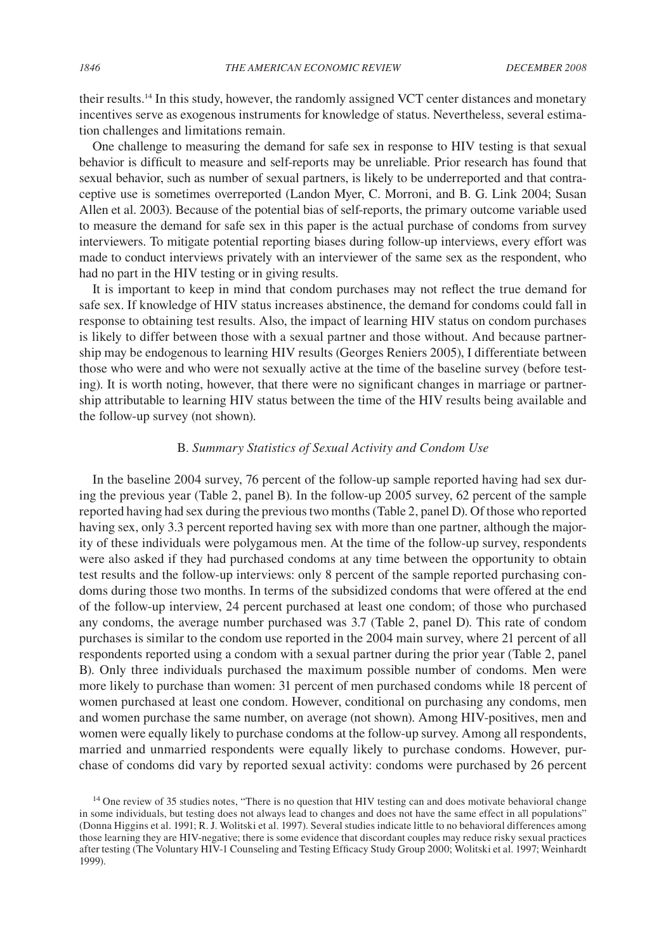their results.14 In this study, however, the randomly assigned VCT center distances and monetary incentives serve as exogenous instruments for knowledge of status. Nevertheless, several estimation challenges and limitations remain.

One challenge to measuring the demand for safe sex in response to HIV testing is that sexual behavior is difficult to measure and self-reports may be unreliable. Prior research has found that sexual behavior, such as number of sexual partners, is likely to be underreported and that contraceptive use is sometimes overreported (Landon Myer, C. Morroni, and B. G. Link 2004; Susan Allen et al. 2003). Because of the potential bias of self-reports, the primary outcome variable used to measure the demand for safe sex in this paper is the actual purchase of condoms from survey interviewers. To mitigate potential reporting biases during follow-up interviews, every effort was made to conduct interviews privately with an interviewer of the same sex as the respondent, who had no part in the HIV testing or in giving results.

It is important to keep in mind that condom purchases may not reflect the true demand for safe sex. If knowledge of HIV status increases abstinence, the demand for condoms could fall in response to obtaining test results. Also, the impact of learning HIV status on condom purchases is likely to differ between those with a sexual partner and those without. And because partnership may be endogenous to learning HIV results (Georges Reniers 2005), I differentiate between those who were and who were not sexually active at the time of the baseline survey (before testing). It is worth noting, however, that there were no significant changes in marriage or partnership attributable to learning HIV status between the time of the HIV results being available and the follow-up survey (not shown).

# B. *Summary Statistics of Sexual Activity and Condom Use*

In the baseline 2004 survey, 76 percent of the follow-up sample reported having had sex during the previous year (Table 2, panel B). In the follow-up 2005 survey, 62 percent of the sample reported having had sex during the previous two months (Table 2, panel D). Of those who reported having sex, only 3.3 percent reported having sex with more than one partner, although the majority of these individuals were polygamous men. At the time of the follow-up survey, respondents were also asked if they had purchased condoms at any time between the opportunity to obtain test results and the follow-up interviews: only 8 percent of the sample reported purchasing condoms during those two months. In terms of the subsidized condoms that were offered at the end of the follow-up interview, 24 percent purchased at least one condom; of those who purchased any condoms, the average number purchased was 3.7 (Table 2, panel D). This rate of condom purchases is similar to the condom use reported in the 2004 main survey, where 21 percent of all respondents reported using a condom with a sexual partner during the prior year (Table 2, panel B). Only three individuals purchased the maximum possible number of condoms. Men were more likely to purchase than women: 31 percent of men purchased condoms while 18 percent of women purchased at least one condom. However, conditional on purchasing any condoms, men and women purchase the same number, on average (not shown). Among HIV-positives, men and women were equally likely to purchase condoms at the follow-up survey. Among all respondents, married and unmarried respondents were equally likely to purchase condoms. However, purchase of condoms did vary by reported sexual activity: condoms were purchased by 26 percent

<sup>&</sup>lt;sup>14</sup> One review of 35 studies notes, "There is no question that HIV testing can and does motivate behavioral change in some individuals, but testing does not always lead to changes and does not have the same effect in all populations" (Donna Higgins et al. 1991; R. J. Wolitski et al. 1997). Several studies indicate little to no behavioral differences among those learning they are HIV-negative; there is some evidence that discordant couples may reduce risky sexual practices after testing (The Voluntary HIV-1 Counseling and Testing Efficacy Study Group 2000; Wolitski et al. 1997; Weinhardt 1999).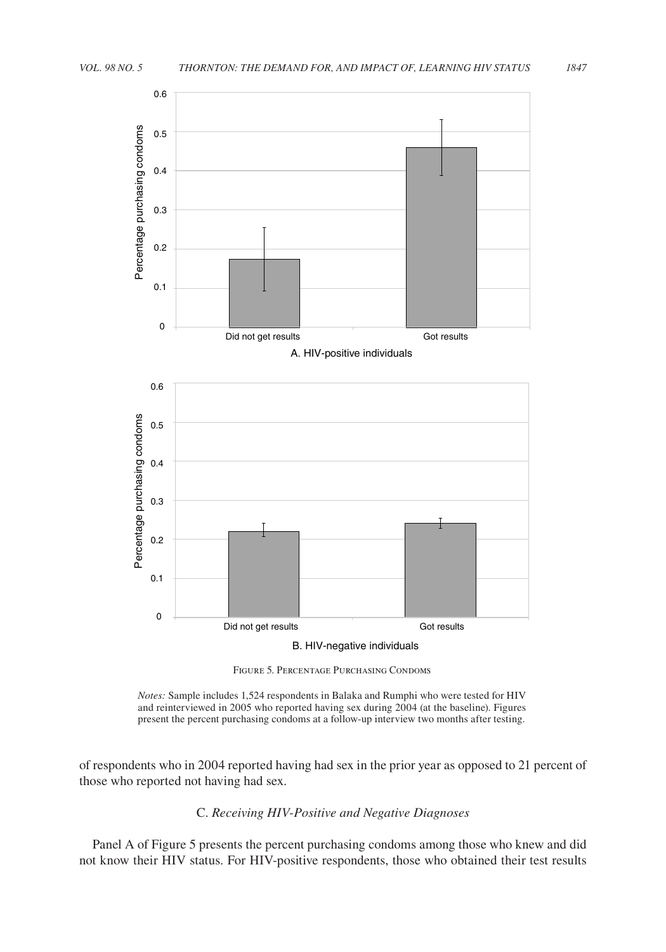



*Notes:* Sample includes 1,524 respondents in Balaka and Rumphi who were tested for HIV and reinterviewed in 2005 who reported having sex during 2004 (at the baseline). Figures present the percent purchasing condoms at a follow-up interview two months after testing.

of respondents who in 2004 reported having had sex in the prior year as opposed to 21 percent of those who reported not having had sex.

# C. *Receiving HIV-Positive and Negative Diagnoses*

Panel A of Figure 5 presents the percent purchasing condoms among those who knew and did not know their HIV status. For HIV-positive respondents, those who obtained their test results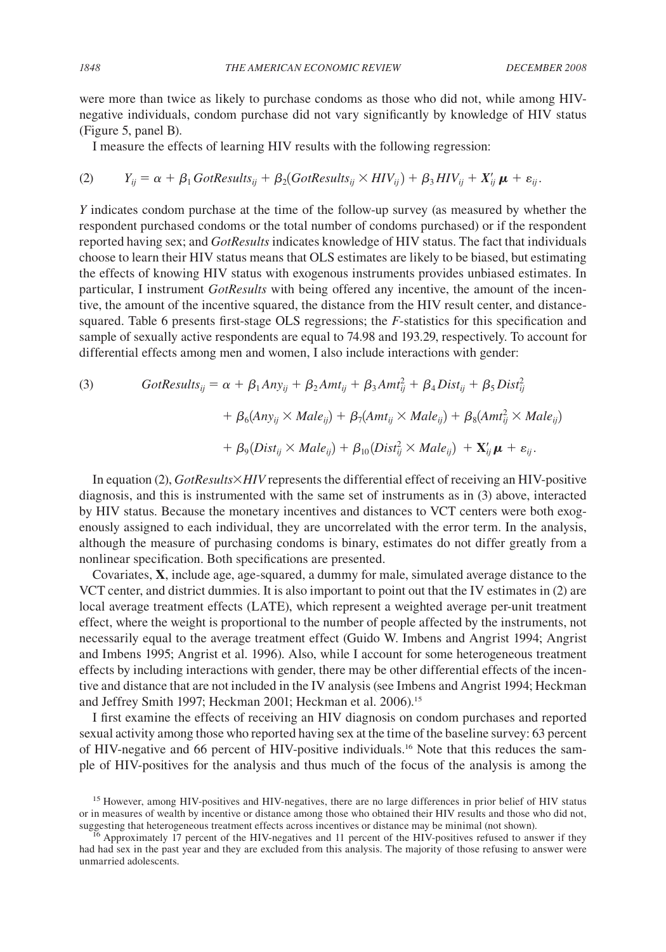were more than twice as likely to purchase condoms as those who did not, while among HIVnegative individuals, condom purchase did not vary significantly by knowledge of HIV status (Figure 5, panel B).

I measure the effects of learning HIV results with the following regression:

(2) 
$$
Y_{ij} = \alpha + \beta_1 \text{GotResults}_{ij} + \beta_2 (\text{GotResults}_{ij} \times HIV_{ij}) + \beta_3 HIV_{ij} + X'_{ij} \mu + \varepsilon_{ij}.
$$

*Y* indicates condom purchase at the time of the follow-up survey (as measured by whether the respondent purchased condoms or the total number of condoms purchased) or if the respondent reported having sex; and *GotResults* indicates knowledge of HIV status. The fact that individuals choose to learn their HIV status means that OLS estimates are likely to be biased, but estimating the effects of knowing HIV status with exogenous instruments provides unbiased estimates. In particular, I instrument *GotResults* with being offered any incentive, the amount of the incentive, the amount of the incentive squared, the distance from the HIV result center, and distancesquared. Table 6 presents first-stage OLS regressions; the *F*-statistics for this specification and sample of sexually active respondents are equal to 74.98 and 193.29, respectively. To account for differential effects among men and women, I also include interactions with gender:

(3) 
$$
GotResults_{ij} = \alpha + \beta_1 Any_{ij} + \beta_2 Amt_{ij} + \beta_3 Amt_{ij}^2 + \beta_4 Dist_{ij} + \beta_5 Dist_{ij}^2
$$

$$
+ \beta_6 (Any_{ij} \times Male_{ij}) + \beta_7 (Anti_{ij} \times Male_{ij}) + \beta_8 (Amt_{ij}^2 \times Male_{ij})
$$

$$
+ \beta_9 (Dist_{ij} \times Male_{ij}) + \beta_{10} (Dist_{ij}^2 \times Male_{ij}) + \mathbf{X}_{ij}' \boldsymbol{\mu} + \varepsilon_{ij}.
$$

In equation (2), *GotResults*3*HIV* represents the differential effect of receiving an HIV-positive diagnosis, and this is instrumented with the same set of instruments as in (3) above, interacted by HIV status. Because the monetary incentives and distances to VCT centers were both exogenously assigned to each individual, they are uncorrelated with the error term. In the analysis, although the measure of purchasing condoms is binary, estimates do not differ greatly from a nonlinear specification. Both specifications are presented.

Covariates, **X**, include age, age-squared, a dummy for male, simulated average distance to the VCT center, and district dummies. It is also important to point out that the IV estimates in (2) are local average treatment effects (LATE), which represent a weighted average per-unit treatment effect, where the weight is proportional to the number of people affected by the instruments, not necessarily equal to the average treatment effect (Guido W. Imbens and Angrist 1994; Angrist and Imbens 1995; Angrist et al. 1996). Also, while I account for some heterogeneous treatment effects by including interactions with gender, there may be other differential effects of the incentive and distance that are not included in the IV analysis (see Imbens and Angrist 1994; Heckman and Jeffrey Smith 1997; Heckman 2001; Heckman et al. 2006).<sup>15</sup>

I first examine the effects of receiving an HIV diagnosis on condom purchases and reported sexual activity among those who reported having sex at the time of the baseline survey: 63 percent of HIV-negative and 66 percent of HIV-positive individuals.16 Note that this reduces the sample of HIV-positives for the analysis and thus much of the focus of the analysis is among the

<sup>&</sup>lt;sup>15</sup> However, among HIV-positives and HIV-negatives, there are no large differences in prior belief of HIV status or in measures of wealth by incentive or distance among those who obtained their HIV results and those who did not, suggesting that heterogeneous treatment effects across incentives or distance may be minimal (not shown).

 $16$  Approximately 17 percent of the HIV-negatives and 11 percent of the HIV-positives refused to answer if they had had sex in the past year and they are excluded from this analysis. The majority of those refusing to answer were unmarried adolescents.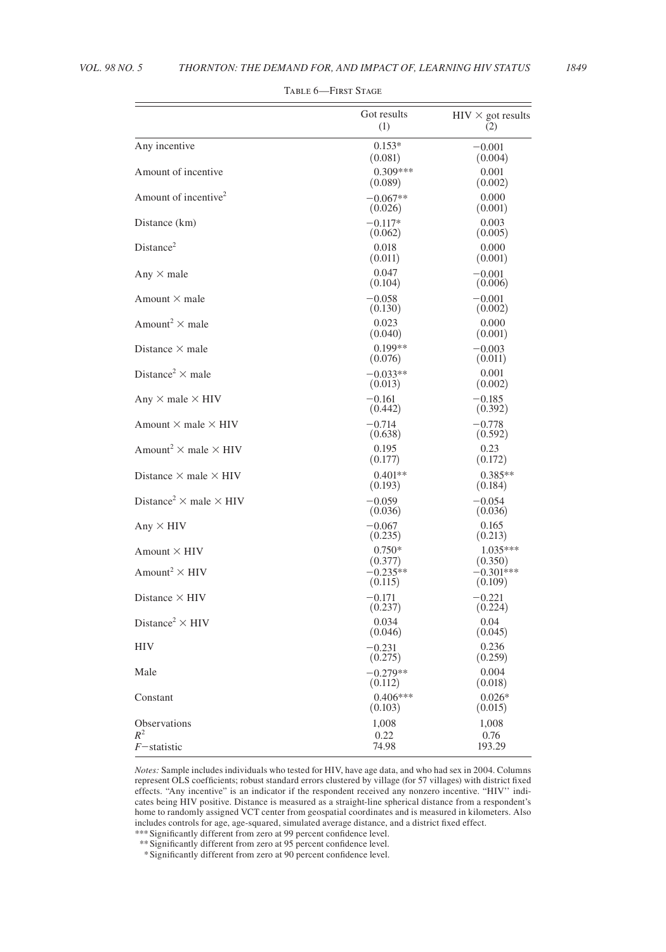|                                                  | Got results<br>(1)     | $HIV \times$ got results<br>(2) |
|--------------------------------------------------|------------------------|---------------------------------|
| Any incentive                                    | $0.153*$<br>(0.081)    | $-0.001$<br>(0.004)             |
| Amount of incentive                              | $0.309***$<br>(0.089)  | 0.001<br>(0.002)                |
| Amount of incentive <sup>2</sup>                 | $-0.067**$<br>(0.026)  | 0.000<br>(0.001)                |
| Distance (km)                                    | $-0.117*$<br>(0.062)   | 0.003<br>(0.005)                |
| Distance <sup>2</sup>                            | 0.018<br>(0.011)       | 0.000<br>(0.001)                |
| Any $\times$ male                                | 0.047<br>(0.104)       | $-0.001$<br>(0.006)             |
| Amount $\times$ male                             | $-0.058$<br>(0.130)    | $-0.001$<br>(0.002)             |
| Amount <sup>2</sup> $\times$ male                | 0.023<br>(0.040)       | 0.000<br>(0.001)                |
| Distance $\times$ male                           | $0.199**$<br>(0.076)   | $-0.003$<br>(0.011)             |
| Distance <sup>2</sup> $\times$ male              | $-0.033**$<br>(0.013)  | 0.001<br>(0.002)                |
| Any $\times$ male $\times$ HIV                   | $-0.161$<br>(0.442)    | $-0.185$<br>(0.392)             |
| Amount $\times$ male $\times$ HIV                | $-0.714$<br>(0.638)    | $-0.778$<br>(0.592)             |
| Amount <sup>2</sup> $\times$ male $\times$ HIV   | 0.195<br>(0.177)       | 0.23<br>(0.172)                 |
| Distance $\times$ male $\times$ HIV              | $0.401**$<br>(0.193)   | $0.385**$<br>(0.184)            |
| Distance <sup>2</sup> $\times$ male $\times$ HIV | $-0.059$<br>(0.036)    | $-0.054$<br>(0.036)             |
| Any $\times$ HIV                                 | $-0.067$<br>(0.235)    | 0.165<br>(0.213)                |
| Amount $\times$ HIV                              | $0.750*$<br>(0.377)    | 1.035***<br>(0.350)             |
| Amount <sup>2</sup> $\times$ HIV                 | $-0.235**$<br>(0.115)  | $-0.301***$<br>(0.109)          |
| Distance $\times$ HIV                            | $-0.171$<br>(0.237)    | $-0.221$<br>(0.224)             |
| Distance <sup>2</sup> $\times$ HIV               | 0.034<br>(0.046)       | 0.04<br>(0.045)                 |
| HIV                                              | $-0.231$<br>(0.275)    | 0.236<br>(0.259)                |
| Male                                             | $-0.279**$<br>(0.112)  | 0.004<br>(0.018)                |
| Constant                                         | $0.406***$<br>(0.103)  | $0.026*$<br>(0.015)             |
| Observations<br>$R^2$<br>$F$ -statistic          | 1,008<br>0.22<br>74.98 | 1,008<br>0.76<br>193.29         |

Table 6—First Stage

*Notes:* Sample includes individuals who tested for HIV, have age data, and who had sex in 2004. Columns represent OLS coefficients; robust standard errors clustered by village (for 57 villages) with district fixed effects. "Any incentive" is an indicator if the respondent received any nonzero incentive. "HIV'' indicates being HIV positive. Distance is measured as a straight-line spherical distance from a respondent's home to randomly assigned VCT center from geospatial coordinates and is measured in kilometers. Also includes controls for age, age-squared, simulated average distance, and a district fixed effect.

\*\*\* Significantly different from zero at 99 percent confidence level.

\*\* Significantly different from zero at 95 percent confidence level.

\*Significantly different from zero at 90 percent confidence level.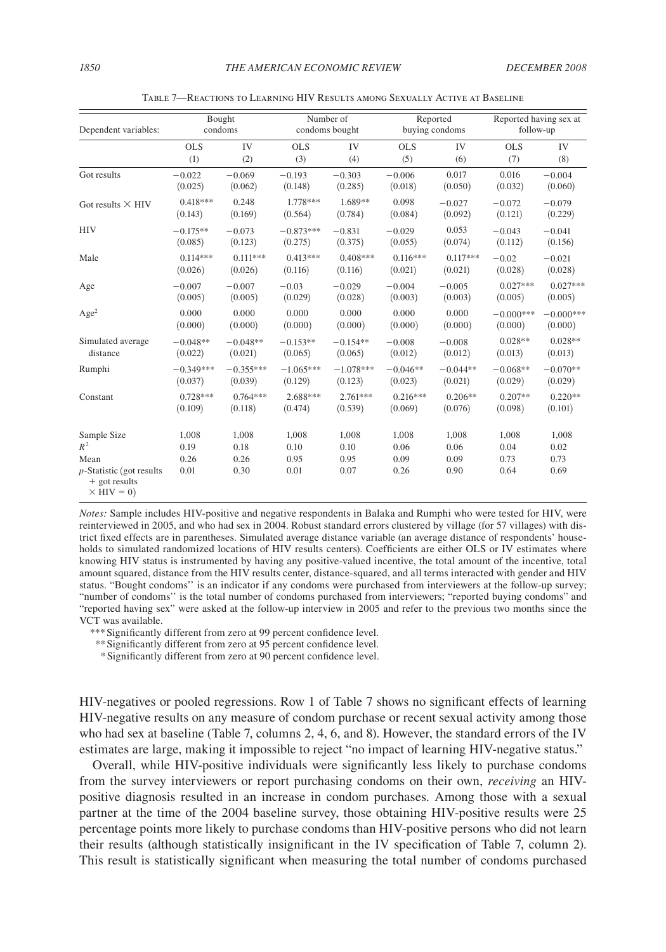| Dependent variables:                 | Bought<br>condoms |             |             | Number of<br>condoms bought |            | Reported<br>buying condoms |             | Reported having sex at<br>follow-up |  |
|--------------------------------------|-------------------|-------------|-------------|-----------------------------|------------|----------------------------|-------------|-------------------------------------|--|
|                                      | <b>OLS</b>        | IV          | <b>OLS</b>  | IV                          | <b>OLS</b> | IV                         | <b>OLS</b>  | IV                                  |  |
|                                      | (1)               | (2)         | (3)         | (4)                         | (5)        | (6)                        | (7)         | (8)                                 |  |
| Got results                          | $-0.022$          | $-0.069$    | $-0.193$    | $-0.303$                    | $-0.006$   | 0.017                      | 0.016       | $-0.004$                            |  |
|                                      | (0.025)           | (0.062)     | (0.148)     | (0.285)                     | (0.018)    | (0.050)                    | (0.032)     | (0.060)                             |  |
| Got results $\times$ HIV             | $0.418***$        | 0.248       | $1.778***$  | 1.689**                     | 0.098      | $-0.027$                   | $-0.072$    | $-0.079$                            |  |
|                                      | (0.143)           | (0.169)     | (0.564)     | (0.784)                     | (0.084)    | (0.092)                    | (0.121)     | (0.229)                             |  |
| <b>HIV</b>                           | $-0.175**$        | $-0.073$    | $-0.873***$ | $-0.831$                    | $-0.029$   | 0.053                      | $-0.043$    | $-0.041$                            |  |
|                                      | (0.085)           | (0.123)     | (0.275)     | (0.375)                     | (0.055)    | (0.074)                    | (0.112)     | (0.156)                             |  |
| Male                                 | $0.114***$        | $0.111***$  | $0.413***$  | $0.408***$                  | $0.116***$ | $0.117***$                 | $-0.02$     | $-0.021$                            |  |
|                                      | (0.026)           | (0.026)     | (0.116)     | (0.116)                     | (0.021)    | (0.021)                    | (0.028)     | (0.028)                             |  |
| Age                                  | $-0.007$          | $-0.007$    | $-0.03$     | $-0.029$                    | $-0.004$   | $-0.005$                   | $0.027***$  | $0.027***$                          |  |
|                                      | (0.005)           | (0.005)     | (0.029)     | (0.028)                     | (0.003)    | (0.003)                    | (0.005)     | (0.005)                             |  |
| Age <sup>2</sup>                     | 0.000             | 0.000       | 0.000       | 0.000                       | 0.000      | 0.000                      | $-0.000***$ | $-0.000***$                         |  |
|                                      | (0.000)           | (0.000)     | (0.000)     | (0.000)                     | (0.000)    | (0.000)                    | (0.000)     | (0.000)                             |  |
| Simulated average                    | $-0.048**$        | $-0.048**$  | $-0.153**$  | $-0.154**$                  | $-0.008$   | $-0.008$                   | $0.028**$   | $0.028**$                           |  |
| distance                             | (0.022)           | (0.021)     | (0.065)     | (0.065)                     | (0.012)    | (0.012)                    | (0.013)     | (0.013)                             |  |
| Rumphi                               | $-0.349***$       | $-0.355***$ | $-1.065***$ | $-1.078***$                 | $-0.046**$ | $-0.044**$                 | $-0.068**$  | $-0.070**$                          |  |
|                                      | (0.037)           | (0.039)     | (0.129)     | (0.123)                     | (0.023)    | (0.021)                    | (0.029)     | (0.029)                             |  |
| Constant                             | $0.728***$        | $0.764***$  | 2.688***    | $2.761***$                  | $0.216***$ | $0.206**$                  | $0.207**$   | $0.220**$                           |  |
|                                      | (0.109)           | (0.118)     | (0.474)     | (0.539)                     | (0.069)    | (0.076)                    | (0.098)     | (0.101)                             |  |
| Sample Size                          | 1,008             | 1,008       | 1,008       | 1,008                       | 1,008      | 1,008                      | 1,008       | 1,008                               |  |
| $R^2$                                | 0.19              | 0.18        | 0.10        | 0.10                        | 0.06       | 0.06                       | 0.04        | 0.02                                |  |
| Mean                                 | 0.26              | 0.26        | 0.95        | 0.95                        | 0.09       | 0.09                       | 0.73        | 0.73                                |  |
| $p$ -Statistic (got results          | 0.01              | 0.30        | 0.01        | 0.07                        | 0.26       | 0.90                       | 0.64        | 0.69                                |  |
| $+$ got results<br>$\times$ HIV = 0) |                   |             |             |                             |            |                            |             |                                     |  |

Table 7—Reactions to Learning HIV Results among Sexually Active at Baseline

*Notes:* Sample includes HIV-positive and negative respondents in Balaka and Rumphi who were tested for HIV, were reinterviewed in 2005, and who had sex in 2004. Robust standard errors clustered by village (for 57 villages) with district fixed effects are in parentheses. Simulated average distance variable (an average distance of respondents' households to simulated randomized locations of HIV results centers). Coefficients are either OLS or IV estimates where knowing HIV status is instrumented by having any positive-valued incentive, the total amount of the incentive, total amount squared, distance from the HIV results center, distance-squared, and all terms interacted with gender and HIV status. "Bought condoms'' is an indicator if any condoms were purchased from interviewers at the follow-up survey; "number of condoms'' is the total number of condoms purchased from interviewers; "reported buying condoms" and "reported having sex" were asked at the follow-up interview in 2005 and refer to the previous two months since the VCT was available.

\*\*\* Significantly different from zero at 99 percent confidence level.

\*\* Significantly different from zero at 95 percent confidence level.

\*Significantly different from zero at 90 percent confidence level.

HIV-negatives or pooled regressions. Row 1 of Table 7 shows no significant effects of learning HIV-negative results on any measure of condom purchase or recent sexual activity among those who had sex at baseline (Table 7, columns 2, 4, 6, and 8). However, the standard errors of the IV estimates are large, making it impossible to reject "no impact of learning HIV-negative status."

Overall, while HIV-positive individuals were significantly less likely to purchase condoms from the survey interviewers or report purchasing condoms on their own, *receiving* an HIVpositive diagnosis resulted in an increase in condom purchases. Among those with a sexual partner at the time of the 2004 baseline survey, those obtaining HIV-positive results were 25 percentage points more likely to purchase condoms than HIV-positive persons who did not learn their results (although statistically insignificant in the IV specification of Table 7, column 2). This result is statistically significant when measuring the total number of condoms purchased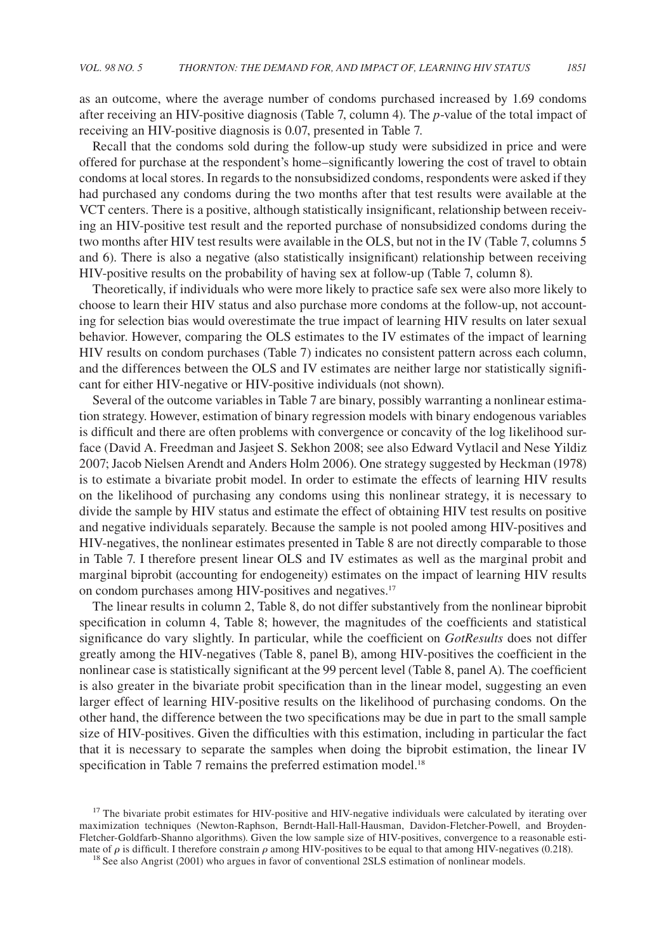as an outcome, where the average number of condoms purchased increased by 1.69 condoms after receiving an HIV-positive diagnosis (Table 7, column 4). The *p*-value of the total impact of receiving an HIV-positive diagnosis is 0.07, presented in Table 7.

Recall that the condoms sold during the follow-up study were subsidized in price and were offered for purchase at the respondent's home–significantly lowering the cost of travel to obtain condoms at local stores. In regards to the nonsubsidized condoms, respondents were asked if they had purchased any condoms during the two months after that test results were available at the VCT centers. There is a positive, although statistically insignificant, relationship between receiving an HIV-positive test result and the reported purchase of nonsubsidized condoms during the two months after HIV test results were available in the OLS, but not in the IV (Table 7, columns 5 and 6). There is also a negative (also statistically insignificant) relationship between receiving HIV-positive results on the probability of having sex at follow-up (Table 7, column 8).

Theoretically, if individuals who were more likely to practice safe sex were also more likely to choose to learn their HIV status and also purchase more condoms at the follow-up, not accounting for selection bias would overestimate the true impact of learning HIV results on later sexual behavior. However, comparing the OLS estimates to the IV estimates of the impact of learning HIV results on condom purchases (Table 7) indicates no consistent pattern across each column, and the differences between the OLS and IV estimates are neither large nor statistically significant for either HIV-negative or HIV-positive individuals (not shown).

Several of the outcome variables in Table 7 are binary, possibly warranting a nonlinear estimation strategy. However, estimation of binary regression models with binary endogenous variables is difficult and there are often problems with convergence or concavity of the log likelihood surface (David A. Freedman and Jasjeet S. Sekhon 2008; see also Edward Vytlacil and Nese Yildiz 2007; Jacob Nielsen Arendt and Anders Holm 2006). One strategy suggested by Heckman (1978) is to estimate a bivariate probit model. In order to estimate the effects of learning HIV results on the likelihood of purchasing any condoms using this nonlinear strategy, it is necessary to divide the sample by HIV status and estimate the effect of obtaining HIV test results on positive and negative individuals separately. Because the sample is not pooled among HIV-positives and HIV-negatives, the nonlinear estimates presented in Table 8 are not directly comparable to those in Table 7. I therefore present linear OLS and IV estimates as well as the marginal probit and marginal biprobit (accounting for endogeneity) estimates on the impact of learning HIV results on condom purchases among HIV-positives and negatives.17

The linear results in column 2, Table 8, do not differ substantively from the nonlinear biprobit specification in column 4, Table 8; however, the magnitudes of the coefficients and statistical significance do vary slightly. In particular, while the coefficient on *GotResults* does not differ greatly among the HIV-negatives (Table 8, panel B), among HIV-positives the coefficient in the nonlinear case is statistically significant at the 99 percent level (Table 8, panel A). The coefficient is also greater in the bivariate probit specification than in the linear model, suggesting an even larger effect of learning HIV-positive results on the likelihood of purchasing condoms. On the other hand, the difference between the two specifications may be due in part to the small sample size of HIV-positives. Given the difficulties with this estimation, including in particular the fact that it is necessary to separate the samples when doing the biprobit estimation, the linear IV specification in Table 7 remains the preferred estimation model.<sup>18</sup>

<sup>&</sup>lt;sup>17</sup> The bivariate probit estimates for HIV-positive and HIV-negative individuals were calculated by iterating over maximization techniques (Newton-Raphson, Berndt-Hall-Hall-Hausman, Davidon-Fletcher-Powell, and Broyden-Fletcher-Goldfarb-Shanno algorithms). Given the low sample size of HIV-positives, convergence to a reasonable estimate of  $\rho$  is difficult. I therefore constrain  $\rho$  among HIV-positives to be equal to that among HIV-negatives (0.218). <sup>18</sup> See also Angrist (2001) who argues in favor of conventional 2SLS estimation of nonlinear mode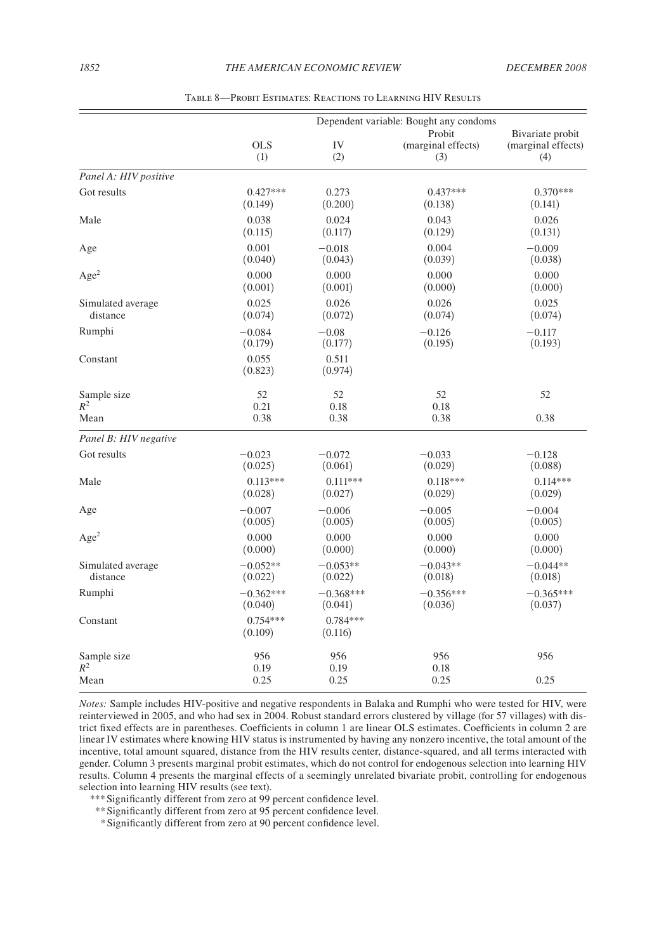|                              | Dependent variable: Bought any condoms |                       |                                     |                                               |  |  |
|------------------------------|----------------------------------------|-----------------------|-------------------------------------|-----------------------------------------------|--|--|
|                              | <b>OLS</b><br>(1)                      | IV<br>(2)             | Probit<br>(marginal effects)<br>(3) | Bivariate probit<br>(marginal effects)<br>(4) |  |  |
| Panel A: HIV positive        |                                        |                       |                                     |                                               |  |  |
| Got results                  | $0.427***$                             | 0.273                 | $0.437***$                          | $0.370***$                                    |  |  |
|                              | (0.149)                                | (0.200)               | (0.138)                             | (0.141)                                       |  |  |
| Male                         | 0.038                                  | 0.024                 | 0.043                               | 0.026                                         |  |  |
|                              | (0.115)                                | (0.117)               | (0.129)                             | (0.131)                                       |  |  |
| Age                          | 0.001                                  | $-0.018$              | 0.004                               | $-0.009$                                      |  |  |
|                              | (0.040)                                | (0.043)               | (0.039)                             | (0.038)                                       |  |  |
| Age <sup>2</sup>             | 0.000                                  | 0.000                 | 0.000                               | 0.000                                         |  |  |
|                              | (0.001)                                | (0.001)               | (0.000)                             | (0.000)                                       |  |  |
| Simulated average            | 0.025                                  | 0.026                 | 0.026                               | 0.025                                         |  |  |
| distance                     | (0.074)                                | (0.072)               | (0.074)                             | (0.074)                                       |  |  |
| Rumphi                       | $-0.084$                               | $-0.08$               | $-0.126$                            | $-0.117$                                      |  |  |
|                              | (0.179)                                | (0.177)               | (0.195)                             | (0.193)                                       |  |  |
| Constant                     | 0.055<br>(0.823)                       | 0.511<br>(0.974)      |                                     |                                               |  |  |
| Sample size<br>$R^2$<br>Mean | 52<br>0.21<br>0.38                     | 52<br>0.18<br>0.38    | 52<br>0.18<br>0.38                  | 52<br>0.38                                    |  |  |
| Panel B: HIV negative        |                                        |                       |                                     |                                               |  |  |
| Got results                  | $-0.023$                               | $-0.072$              | $-0.033$                            | $-0.128$                                      |  |  |
|                              | (0.025)                                | (0.061)               | (0.029)                             | (0.088)                                       |  |  |
| Male                         | $0.113***$                             | $0.111***$            | $0.118***$                          | $0.114***$                                    |  |  |
|                              | (0.028)                                | (0.027)               | (0.029)                             | (0.029)                                       |  |  |
| Age                          | $-0.007$                               | $-0.006$              | $-0.005$                            | $-0.004$                                      |  |  |
|                              | (0.005)                                | (0.005)               | (0.005)                             | (0.005)                                       |  |  |
| Age <sup>2</sup>             | 0.000                                  | 0.000                 | 0.000                               | 0.000                                         |  |  |
|                              | (0.000)                                | (0.000)               | (0.000)                             | (0.000)                                       |  |  |
| Simulated average            | $-0.052**$                             | $-0.053**$            | $-0.043**$                          | $-0.044**$                                    |  |  |
| distance                     | (0.022)                                | (0.022)               | (0.018)                             | (0.018)                                       |  |  |
| Rumphi                       | $-0.362***$                            | $-0.368***$           | $-0.356***$                         | $-0.365***$                                   |  |  |
|                              | (0.040)                                | (0.041)               | (0.036)                             | (0.037)                                       |  |  |
| Constant                     | $0.754***$<br>(0.109)                  | $0.784***$<br>(0.116) |                                     |                                               |  |  |
| Sample size                  | 956                                    | 956                   | 956                                 | 956                                           |  |  |
| $R^2$                        | 0.19                                   | 0.19                  | 0.18                                |                                               |  |  |
| Mean                         | 0.25                                   | 0.25                  | 0.25                                | 0.25                                          |  |  |

Table 8—Probit Estimates: Reactions to Learning HIV Results

*Notes:* Sample includes HIV-positive and negative respondents in Balaka and Rumphi who were tested for HIV, were reinterviewed in 2005, and who had sex in 2004. Robust standard errors clustered by village (for 57 villages) with district fixed effects are in parentheses. Coefficients in column 1 are linear OLS estimates. Coefficients in column 2 are linear IV estimates where knowing HIV status is instrumented by having any nonzero incentive, the total amount of the incentive, total amount squared, distance from the HIV results center, distance-squared, and all terms interacted with gender. Column 3 presents marginal probit estimates, which do not control for endogenous selection into learning HIV results. Column 4 presents the marginal effects of a seemingly unrelated bivariate probit, controlling for endogenous selection into learning HIV results (see text).

\*\*\* Significantly different from zero at 99 percent confidence level.

\*\* Significantly different from zero at 95 percent confidence level.

\*Significantly different from zero at 90 percent confidence level.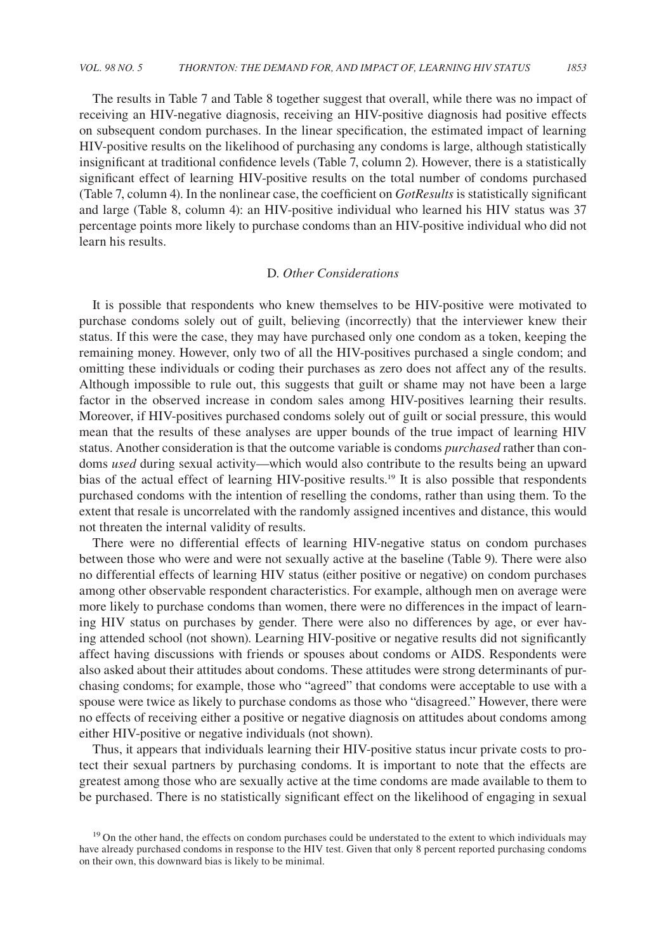The results in Table 7 and Table 8 together suggest that overall, while there was no impact of receiving an HIV-negative diagnosis, receiving an HIV-positive diagnosis had positive effects on subsequent condom purchases. In the linear specification, the estimated impact of learning HIV-positive results on the likelihood of purchasing any condoms is large, although statistically insignificant at traditional confidence levels (Table 7, column 2). However, there is a statistically significant effect of learning HIV-positive results on the total number of condoms purchased (Table 7, column 4). In the nonlinear case, the coefficient on *GotResults* is statistically significant and large (Table 8, column 4): an HIV-positive individual who learned his HIV status was 37 percentage points more likely to purchase condoms than an HIV-positive individual who did not learn his results.

## D. *Other Considerations*

It is possible that respondents who knew themselves to be HIV-positive were motivated to purchase condoms solely out of guilt, believing (incorrectly) that the interviewer knew their status. If this were the case, they may have purchased only one condom as a token, keeping the remaining money. However, only two of all the HIV-positives purchased a single condom; and omitting these individuals or coding their purchases as zero does not affect any of the results. Although impossible to rule out, this suggests that guilt or shame may not have been a large factor in the observed increase in condom sales among HIV-positives learning their results. Moreover, if HIV-positives purchased condoms solely out of guilt or social pressure, this would mean that the results of these analyses are upper bounds of the true impact of learning HIV status. Another consideration is that the outcome variable is condoms *purchased* rather than condoms *used* during sexual activity—which would also contribute to the results being an upward bias of the actual effect of learning HIV-positive results.19 It is also possible that respondents purchased condoms with the intention of reselling the condoms, rather than using them. To the extent that resale is uncorrelated with the randomly assigned incentives and distance, this would not threaten the internal validity of results.

There were no differential effects of learning HIV-negative status on condom purchases between those who were and were not sexually active at the baseline (Table 9). There were also no differential effects of learning HIV status (either positive or negative) on condom purchases among other observable respondent characteristics. For example, although men on average were more likely to purchase condoms than women, there were no differences in the impact of learning HIV status on purchases by gender. There were also no differences by age, or ever having attended school (not shown). Learning HIV-positive or negative results did not significantly affect having discussions with friends or spouses about condoms or AIDS. Respondents were also asked about their attitudes about condoms. These attitudes were strong determinants of purchasing condoms; for example, those who "agreed" that condoms were acceptable to use with a spouse were twice as likely to purchase condoms as those who "disagreed." However, there were no effects of receiving either a positive or negative diagnosis on attitudes about condoms among either HIV-positive or negative individuals (not shown).

Thus, it appears that individuals learning their HIV-positive status incur private costs to protect their sexual partners by purchasing condoms. It is important to note that the effects are greatest among those who are sexually active at the time condoms are made available to them to be purchased. There is no statistically significant effect on the likelihood of engaging in sexual

 $19$  On the other hand, the effects on condom purchases could be understated to the extent to which individuals may have already purchased condoms in response to the HIV test. Given that only 8 percent reported purchasing condoms on their own, this downward bias is likely to be minimal.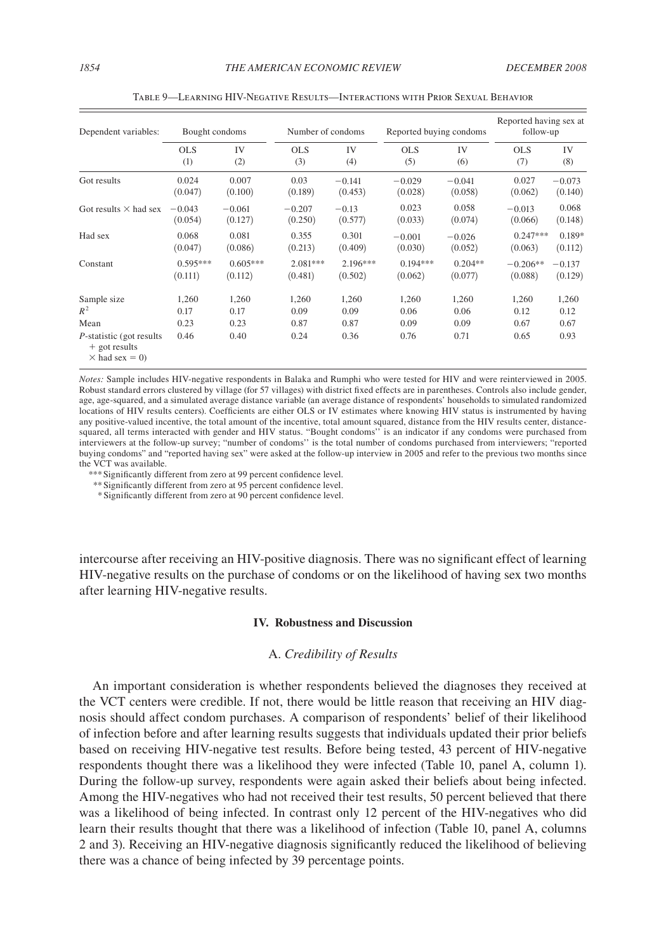| Dependent variables:                                                  | Bought condoms |            |            | Number of condoms |            | Reported buying condoms |            | Reported having sex at<br>follow-up |  |
|-----------------------------------------------------------------------|----------------|------------|------------|-------------------|------------|-------------------------|------------|-------------------------------------|--|
|                                                                       | <b>OLS</b>     | IV         | <b>OLS</b> | IV                | <b>OLS</b> | IV                      | <b>OLS</b> | IV                                  |  |
|                                                                       | (1)            | (2)        | (3)        | (4)               | (5)        | (6)                     | (7)        | (8)                                 |  |
| Got results                                                           | 0.024          | 0.007      | 0.03       | $-0.141$          | $-0.029$   | $-0.041$                | 0.027      | $-0.073$                            |  |
|                                                                       | (0.047)        | (0.100)    | (0.189)    | (0.453)           | (0.028)    | (0.058)                 | (0.062)    | (0.140)                             |  |
| Got results $\times$ had sex                                          | $-0.043$       | $-0.061$   | $-0.207$   | $-0.13$           | 0.023      | 0.058                   | $-0.013$   | 0.068                               |  |
|                                                                       | (0.054)        | (0.127)    | (0.250)    | (0.577)           | (0.033)    | (0.074)                 | (0.066)    | (0.148)                             |  |
| Had sex                                                               | 0.068          | 0.081      | 0.355      | 0.301             | $-0.001$   | $-0.026$                | $0.247***$ | 0.189*                              |  |
|                                                                       | (0.047)        | (0.086)    | (0.213)    | (0.409)           | (0.030)    | (0.052)                 | (0.063)    | (0.112)                             |  |
| Constant                                                              | $0.595***$     | $0.605***$ | $2.081***$ | $2.196***$        | $0.194***$ | $0.204**$               | $-0.206**$ | $-0.137$                            |  |
|                                                                       | (0.111)        | (0.112)    | (0.481)    | (0.502)           | (0.062)    | (0.077)                 | (0.088)    | (0.129)                             |  |
| Sample size                                                           | 1,260          | 1,260      | 1,260      | 1,260             | 1,260      | 1,260                   | 1,260      | 1,260                               |  |
| $R^2$                                                                 | 0.17           | 0.17       | 0.09       | 0.09              | 0.06       | 0.06                    | 0.12       | 0.12                                |  |
| Mean                                                                  | 0.23           | 0.23       | 0.87       | 0.87              | 0.09       | 0.09                    | 0.67       | 0.67                                |  |
| P-statistic (got results)<br>$+$ got results<br>$\times$ had sex = 0) | 0.46           | 0.40       | 0.24       | 0.36              | 0.76       | 0.71                    | 0.65       | 0.93                                |  |

Table 9—Learning HIV-Negative Results—Interactions with Prior Sexual Behavior

*Notes:* Sample includes HIV-negative respondents in Balaka and Rumphi who were tested for HIV and were reinterviewed in 2005. Robust standard errors clustered by village (for 57 villages) with district fixed effects are in parentheses. Controls also include gender, age, age-squared, and a simulated average distance variable (an average distance of respondents' households to simulated randomized locations of HIV results centers). Coefficients are either OLS or IV estimates where knowing HIV status is instrumented by having any positive-valued incentive, the total amount of the incentive, total amount squared, distance from the HIV results center, distancesquared, all terms interacted with gender and HIV status. "Bought condoms'' is an indicator if any condoms were purchased from interviewers at the follow-up survey; "number of condoms'' is the total number of condoms purchased from interviewers; "reported buying condoms" and "reported having sex" were asked at the follow-up interview in 2005 and refer to the previous two months since the VCT was available.

\*\*\* Significantly different from zero at 99 percent confidence level.

\*\* Significantly different from zero at 95 percent confidence level.

\*Significantly different from zero at 90 percent confidence level.

intercourse after receiving an HIV-positive diagnosis. There was no significant effect of learning HIV-negative results on the purchase of condoms or on the likelihood of having sex two months after learning HIV-negative results.

#### **IV. Robustness and Discussion**

### A. *Credibility of Results*

An important consideration is whether respondents believed the diagnoses they received at the VCT centers were credible. If not, there would be little reason that receiving an HIV diagnosis should affect condom purchases. A comparison of respondents' belief of their likelihood of infection before and after learning results suggests that individuals updated their prior beliefs based on receiving HIV-negative test results. Before being tested, 43 percent of HIV-negative respondents thought there was a likelihood they were infected (Table 10, panel A, column 1). During the follow-up survey, respondents were again asked their beliefs about being infected. Among the HIV-negatives who had not received their test results, 50 percent believed that there was a likelihood of being infected. In contrast only 12 percent of the HIV-negatives who did learn their results thought that there was a likelihood of infection (Table 10, panel A, columns 2 and 3). Receiving an HIV-negative diagnosis significantly reduced the likelihood of believing there was a chance of being infected by 39 percentage points.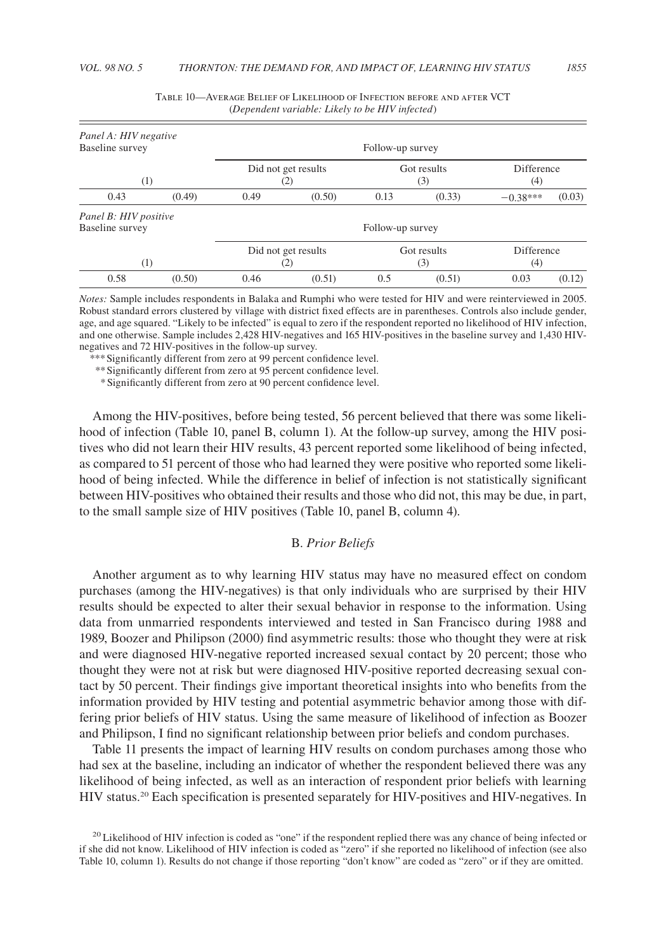| Panel A: HIV negative<br>Baseline survey |        | Follow-up survey |                           |                  |                    |                   |        |
|------------------------------------------|--------|------------------|---------------------------|------------------|--------------------|-------------------|--------|
| (1)                                      |        |                  | Did not get results<br>2, |                  | Got results<br>(3) | Difference<br>(4) |        |
| 0.43                                     | (0.49) | 0.49             | (0.50)                    | 0.13             | (0.33)             | $-0.38***$        | (0.03) |
| Panel B: HIV positive<br>Baseline survey |        |                  |                           | Follow-up survey |                    |                   |        |
| (1)                                      |        |                  | Did not get results<br>2, |                  | Got results<br>(3) | Difference<br>(4) |        |
| 0.58                                     | (0.50) | 0.46             | (0.51)                    | 0.5              | (0.51)             | 0.03              | (0.12) |

| TABLE 10—AVERAGE BELIEF OF LIKELIHOOD OF INFECTION BEFORE AND AFTER VCT |  |
|-------------------------------------------------------------------------|--|
| (Dependent variable: Likely to be HIV infected)                         |  |

*Notes:* Sample includes respondents in Balaka and Rumphi who were tested for HIV and were reinterviewed in 2005. Robust standard errors clustered by village with district fixed effects are in parentheses. Controls also include gender, age, and age squared. "Likely to be infected" is equal to zero if the respondent reported no likelihood of HIV infection, and one otherwise. Sample includes 2,428 HIV-negatives and 165 HIV-positives in the baseline survey and 1,430 HIVnegatives and 72 HIV-positives in the follow-up survey.

\*\*\* Significantly different from zero at 99 percent confidence level.

\*\* Significantly different from zero at 95 percent confidence level.

\*Significantly different from zero at 90 percent confidence level.

Among the HIV-positives, before being tested, 56 percent believed that there was some likelihood of infection (Table 10, panel B, column 1). At the follow-up survey, among the HIV positives who did not learn their HIV results, 43 percent reported some likelihood of being infected, as compared to 51 percent of those who had learned they were positive who reported some likelihood of being infected. While the difference in belief of infection is not statistically significant between HIV-positives who obtained their results and those who did not, this may be due, in part, to the small sample size of HIV positives (Table 10, panel B, column 4).

# B. *Prior Beliefs*

Another argument as to why learning HIV status may have no measured effect on condom purchases (among the HIV-negatives) is that only individuals who are surprised by their HIV results should be expected to alter their sexual behavior in response to the information. Using data from unmarried respondents interviewed and tested in San Francisco during 1988 and 1989, Boozer and Philipson (2000) find asymmetric results: those who thought they were at risk and were diagnosed HIV-negative reported increased sexual contact by 20 percent; those who thought they were not at risk but were diagnosed HIV-positive reported decreasing sexual contact by 50 percent. Their findings give important theoretical insights into who benefits from the information provided by HIV testing and potential asymmetric behavior among those with differing prior beliefs of HIV status. Using the same measure of likelihood of infection as Boozer and Philipson, I find no significant relationship between prior beliefs and condom purchases.

Table 11 presents the impact of learning HIV results on condom purchases among those who had sex at the baseline, including an indicator of whether the respondent believed there was any likelihood of being infected, as well as an interaction of respondent prior beliefs with learning HIV status.20 Each specification is presented separately for HIV-positives and HIV-negatives. In

 $^{20}$  Likelihood of HIV infection is coded as "one" if the respondent replied there was any chance of being infected or if she did not know. Likelihood of HIV infection is coded as "zero" if she reported no likelihood of infection (see also Table 10, column 1). Results do not change if those reporting "don't know" are coded as "zero" or if they are omitted.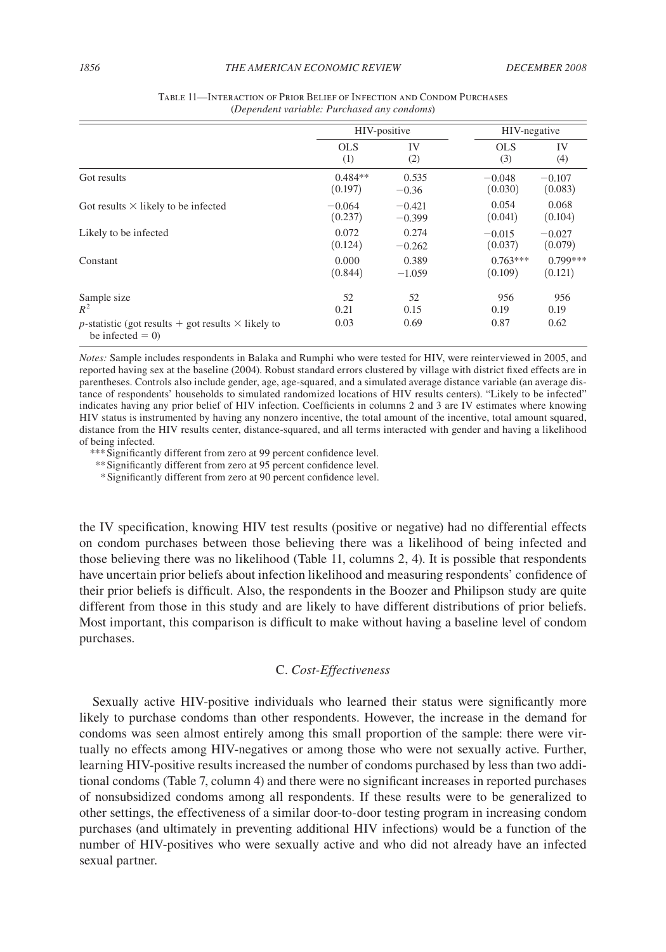|                                                                                          |                    | HIV-positive       | HIV-negative        |                     |
|------------------------------------------------------------------------------------------|--------------------|--------------------|---------------------|---------------------|
|                                                                                          | <b>OLS</b>         | IV                 | <b>OLS</b>          | IV                  |
|                                                                                          | (1)                | (2)                | (3)                 | (4)                 |
| Got results                                                                              | $0.484**$          | 0.535              | $-0.048$            | $-0.107$            |
|                                                                                          | (0.197)            | $-0.36$            | (0.030)             | (0.083)             |
| Got results $\times$ likely to be infected                                               | $-0.064$           | $-0.421$           | 0.054               | 0.068               |
|                                                                                          | (0.237)            | $-0.399$           | (0.041)             | (0.104)             |
| Likely to be infected                                                                    | 0.072              | 0.274              | $-0.015$            | $-0.027$            |
|                                                                                          | (0.124)            | $-0.262$           | (0.037)             | (0.079)             |
| Constant                                                                                 | 0.000              | 0.389              | $0.763***$          | $0.799***$          |
|                                                                                          | (0.844)            | $-1.059$           | (0.109)             | (0.121)             |
| Sample size<br>$R^2$                                                                     | 52<br>0.21<br>0.03 | 52<br>0.15<br>0.69 | 956<br>0.19<br>0.87 | 956<br>0.19<br>0.62 |
| <i>p</i> -statistic (got results + got results $\times$ likely to<br>be infected $= 0$ ) |                    |                    |                     |                     |

| Table 11—Interaction of Prior Belief of Infection and Condom Purchases |                                             |  |  |  |
|------------------------------------------------------------------------|---------------------------------------------|--|--|--|
|                                                                        | (Dependent variable: Purchased any condoms) |  |  |  |

*Notes:* Sample includes respondents in Balaka and Rumphi who were tested for HIV, were reinterviewed in 2005, and reported having sex at the baseline (2004). Robust standard errors clustered by village with district fixed effects are in parentheses. Controls also include gender, age, age-squared, and a simulated average distance variable (an average distance of respondents' households to simulated randomized locations of HIV results centers). "Likely to be infected" indicates having any prior belief of HIV infection. Coefficients in columns 2 and 3 are IV estimates where knowing HIV status is instrumented by having any nonzero incentive, the total amount of the incentive, total amount squared, distance from the HIV results center, distance-squared, and all terms interacted with gender and having a likelihood of being infected.

\*\*\* Significantly different from zero at 99 percent confidence level.

\*\*Significantly different from zero at 95 percent confidence level.

\*Significantly different from zero at 90 percent confidence level.

the IV specification, knowing HIV test results (positive or negative) had no differential effects on condom purchases between those believing there was a likelihood of being infected and those believing there was no likelihood (Table 11, columns 2, 4). It is possible that respondents have uncertain prior beliefs about infection likelihood and measuring respondents' confidence of their prior beliefs is difficult. Also, the respondents in the Boozer and Philipson study are quite different from those in this study and are likely to have different distributions of prior beliefs. Most important, this comparison is difficult to make without having a baseline level of condom purchases.

# C. *Cost-Effectiveness*

Sexually active HIV-positive individuals who learned their status were significantly more likely to purchase condoms than other respondents. However, the increase in the demand for condoms was seen almost entirely among this small proportion of the sample: there were virtually no effects among HIV-negatives or among those who were not sexually active. Further, learning HIV-positive results increased the number of condoms purchased by less than two additional condoms (Table 7, column 4) and there were no significant increases in reported purchases of nonsubsidized condoms among all respondents. If these results were to be generalized to other settings, the effectiveness of a similar door-to-door testing program in increasing condom purchases (and ultimately in preventing additional HIV infections) would be a function of the number of HIV-positives who were sexually active and who did not already have an infected sexual partner.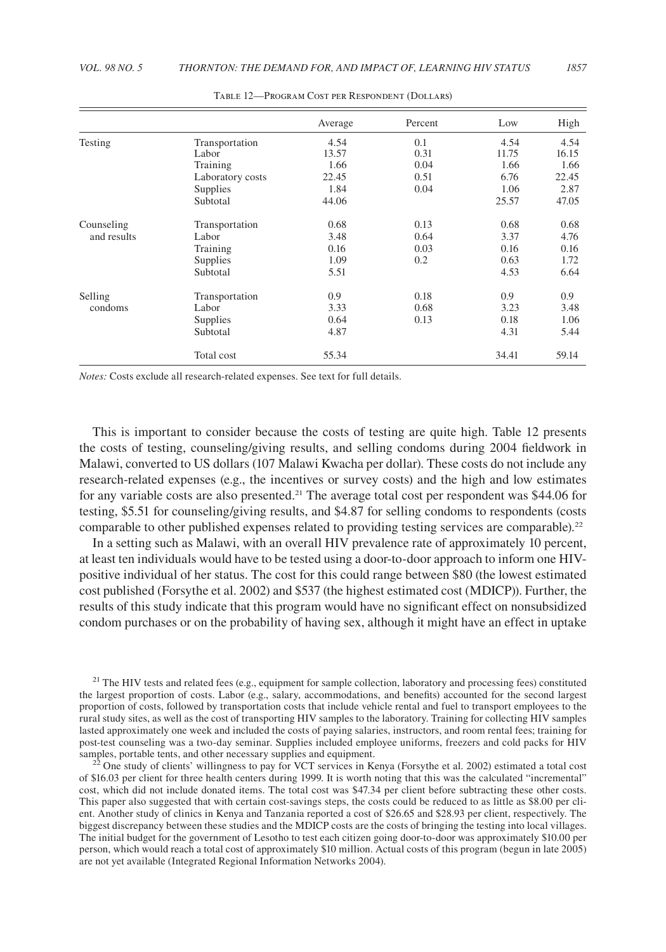|                           |                  | Average | Percent | Low   | High  |
|---------------------------|------------------|---------|---------|-------|-------|
| Testing                   | Transportation   | 4.54    | 0.1     | 4.54  | 4.54  |
|                           | Labor            | 13.57   | 0.31    | 11.75 | 16.15 |
|                           | Training         | 1.66    | 0.04    | 1.66  | 1.66  |
|                           | Laboratory costs | 22.45   | 0.51    | 6.76  | 22.45 |
|                           | Supplies         | 1.84    | 0.04    | 1.06  | 2.87  |
|                           | Subtotal         | 44.06   |         | 25.57 | 47.05 |
| Counseling<br>and results | Transportation   | 0.68    | 0.13    | 0.68  | 0.68  |
|                           | Labor            | 3.48    | 0.64    | 3.37  | 4.76  |
|                           | Training         | 0.16    | 0.03    | 0.16  | 0.16  |
|                           | Supplies         | 1.09    | 0.2     | 0.63  | 1.72  |
|                           | Subtotal         | 5.51    |         | 4.53  | 6.64  |
| Selling                   | Transportation   | 0.9     | 0.18    | 0.9   | 0.9   |
| condoms                   | Labor            | 3.33    | 0.68    | 3.23  | 3.48  |
|                           | Supplies         | 0.64    | 0.13    | 0.18  | 1.06  |
|                           | Subtotal         | 4.87    |         | 4.31  | 5.44  |
|                           | Total cost       | 55.34   |         | 34.41 | 59.14 |

Table 12—Program Cost per Respondent (Dollars)

*Notes:* Costs exclude all research-related expenses. See text for full details.

This is important to consider because the costs of testing are quite high. Table 12 presents the costs of testing, counseling/giving results, and selling condoms during 2004 fieldwork in Malawi, converted to US dollars (107 Malawi Kwacha per dollar). These costs do not include any research-related expenses (e.g., the incentives or survey costs) and the high and low estimates for any variable costs are also presented.<sup>21</sup> The average total cost per respondent was \$44.06 for testing, \$5.51 for counseling/giving results, and \$4.87 for selling condoms to respondents (costs comparable to other published expenses related to providing testing services are comparable).<sup>22</sup>

In a setting such as Malawi, with an overall HIV prevalence rate of approximately 10 percent, at least ten individuals would have to be tested using a door-to-door approach to inform one HIVpositive individual of her status. The cost for this could range between \$80 (the lowest estimated cost published (Forsythe et al. 2002) and \$537 (the highest estimated cost (MDICP)). Further, the results of this study indicate that this program would have no significant effect on nonsubsidized condom purchases or on the probability of having sex, although it might have an effect in uptake

 $21$  The HIV tests and related fees (e.g., equipment for sample collection, laboratory and processing fees) constituted the largest proportion of costs. Labor (e.g., salary, accommodations, and benefits) accounted for the second largest proportion of costs, followed by transportation costs that include vehicle rental and fuel to transport employees to the rural study sites, as well as the cost of transporting HIV samples to the laboratory. Training for collecting HIV samples lasted approximately one week and included the costs of paying salaries, instructors, and room rental fees; training for post-test counseling was a two-day seminar. Supplies included employee uniforms, freezers and cold packs for HIV samples, portable tents, and other necessary supplies and equipment.<br><sup>22</sup> One study of clients' willingness to pay for VCT services in Kenya (Forsythe et al. 2002) estimated a total cost

of \$16.03 per client for three health centers during 1999. It is worth noting that this was the calculated "incremental" cost, which did not include donated items. The total cost was \$47.34 per client before subtracting these other costs. This paper also suggested that with certain cost-savings steps, the costs could be reduced to as little as \$8.00 per client. Another study of clinics in Kenya and Tanzania reported a cost of \$26.65 and \$28.93 per client, respectively. The biggest discrepancy between these studies and the MDICP costs are the costs of bringing the testing into local villages. The initial budget for the government of Lesotho to test each citizen going door-to-door was approximately \$10.00 per person, which would reach a total cost of approximately \$10 million. Actual costs of this program (begun in late 2005) are not yet available (Integrated Regional Information Networks 2004).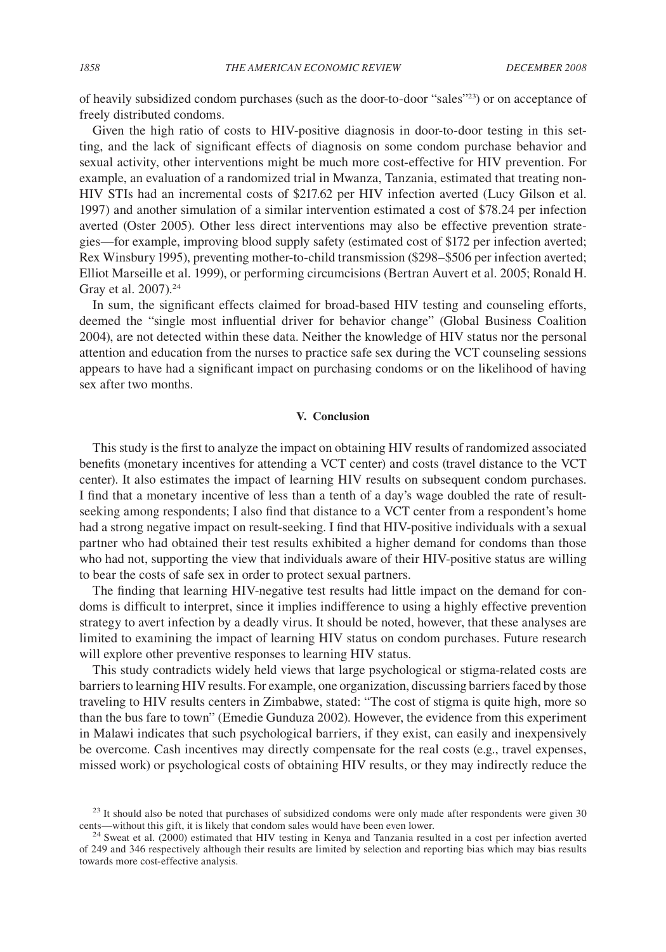of heavily subsidized condom purchases (such as the door-to-door "sales"23) or on acceptance of freely distributed condoms.

Given the high ratio of costs to HIV-positive diagnosis in door-to-door testing in this setting, and the lack of significant effects of diagnosis on some condom purchase behavior and sexual activity, other interventions might be much more cost-effective for HIV prevention. For example, an evaluation of a randomized trial in Mwanza, Tanzania, estimated that treating non-HIV STIs had an incremental costs of \$217.62 per HIV infection averted (Lucy Gilson et al. 1997) and another simulation of a similar intervention estimated a cost of \$78.24 per infection averted (Oster 2005). Other less direct interventions may also be effective prevention strategies—for example, improving blood supply safety (estimated cost of \$172 per infection averted; Rex Winsbury 1995), preventing mother-to-child transmission (\$298–\$506 per infection averted; Elliot Marseille et al. 1999), or performing circumcisions (Bertran Auvert et al. 2005; Ronald H. Gray et al. 2007).24

In sum, the significant effects claimed for broad-based HIV testing and counseling efforts, deemed the "single most influential driver for behavior change" (Global Business Coalition 2004), are not detected within these data. Neither the knowledge of HIV status nor the personal attention and education from the nurses to practice safe sex during the VCT counseling sessions appears to have had a significant impact on purchasing condoms or on the likelihood of having sex after two months.

#### **V. Conclusion**

This study is the first to analyze the impact on obtaining HIV results of randomized associated benefits (monetary incentives for attending a VCT center) and costs (travel distance to the VCT center). It also estimates the impact of learning HIV results on subsequent condom purchases. I find that a monetary incentive of less than a tenth of a day's wage doubled the rate of resultseeking among respondents; I also find that distance to a VCT center from a respondent's home had a strong negative impact on result-seeking. I find that HIV-positive individuals with a sexual partner who had obtained their test results exhibited a higher demand for condoms than those who had not, supporting the view that individuals aware of their HIV-positive status are willing to bear the costs of safe sex in order to protect sexual partners.

The finding that learning HIV-negative test results had little impact on the demand for condoms is difficult to interpret, since it implies indifference to using a highly effective prevention strategy to avert infection by a deadly virus. It should be noted, however, that these analyses are limited to examining the impact of learning HIV status on condom purchases. Future research will explore other preventive responses to learning HIV status.

This study contradicts widely held views that large psychological or stigma-related costs are barriers to learning HIV results. For example, one organization, discussing barriers faced by those traveling to HIV results centers in Zimbabwe, stated: "The cost of stigma is quite high, more so than the bus fare to town" (Emedie Gunduza 2002). However, the evidence from this experiment in Malawi indicates that such psychological barriers, if they exist, can easily and inexpensively be overcome. Cash incentives may directly compensate for the real costs (e.g., travel expenses, missed work) or psychological costs of obtaining HIV results, or they may indirectly reduce the

<sup>&</sup>lt;sup>23</sup> It should also be noted that purchases of subsidized condoms were only made after respondents were given 30 cents—without this gift, it is likely that condom sales would have been even lower. 24 Sweat et al. (2000) estimated that HIV testing in Kenya and Tanzania resulted in a cost per infection averted

of 249 and 346 respectively although their results are limited by selection and reporting bias which may bias results towards more cost-effective analysis.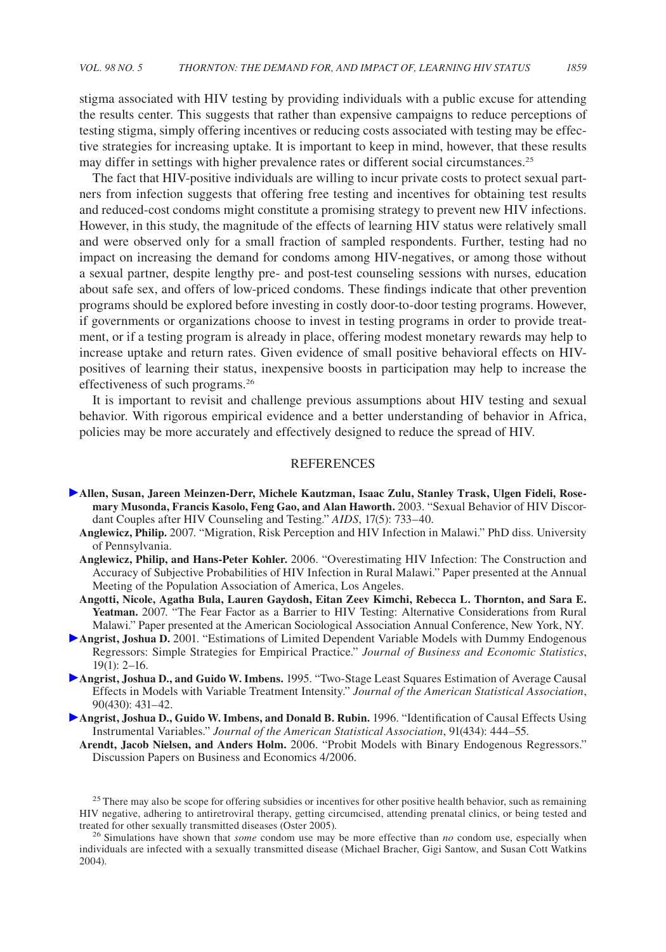stigma associated with HIV testing by providing individuals with a public excuse for attending the results center. This suggests that rather than expensive campaigns to reduce perceptions of testing stigma, simply offering incentives or reducing costs associated with testing may be effective strategies for increasing uptake. It is important to keep in mind, however, that these results may differ in settings with higher prevalence rates or different social circumstances.<sup>25</sup>

The fact that HIV-positive individuals are willing to incur private costs to protect sexual partners from infection suggests that offering free testing and incentives for obtaining test results and reduced-cost condoms might constitute a promising strategy to prevent new HIV infections. However, in this study, the magnitude of the effects of learning HIV status were relatively small and were observed only for a small fraction of sampled respondents. Further, testing had no impact on increasing the demand for condoms among HIV-negatives, or among those without a sexual partner, despite lengthy pre- and post-test counseling sessions with nurses, education about safe sex, and offers of low-priced condoms. These findings indicate that other prevention programs should be explored before investing in costly door-to-door testing programs. However, if governments or organizations choose to invest in testing programs in order to provide treatment, or if a testing program is already in place, offering modest monetary rewards may help to increase uptake and return rates. Given evidence of small positive behavioral effects on HIVpositives of learning their status, inexpensive boosts in participation may help to increase the effectiveness of such programs.26

It is important to revisit and challenge previous assumptions about HIV testing and sexual behavior. With rigorous empirical evidence and a better understanding of behavior in Africa, policies may be more accurately and effectively designed to reduce the spread of HIV.

# REFERENCES

- **Allen, Susan, Jareen Meinzen-Derr, Michele Kautzman, Isaac Zulu, Stanley Trask, Ulgen Fideli, Rosemary Musonda, Francis Kasolo, Feng Gao, and Alan Haworth.** 2003. "Sexual Behavior of HIV Discordant Couples after HIV Counseling and Testing." *AIDS*, 17(5): 733–40.
	- **Anglewicz, Philip.** 2007. "Migration, Risk Perception and HIV Infection in Malawi." PhD diss. University of Pennsylvania.
	- **Anglewicz, Philip, and Hans-Peter Kohler.** 2006. "Overestimating HIV Infection: The Construction and Accuracy of Subjective Probabilities of HIV Infection in Rural Malawi." Paper presented at the Annual Meeting of the Population Association of America, Los Angeles.
	- **Angotti, Nicole, Agatha Bula, Lauren Gaydosh, Eitan Zeev Kimchi, Rebecca L. Thornton, and Sara E. Yeatman.** 2007. "The Fear Factor as a Barrier to HIV Testing: Alternative Considerations from Rural Malawi." Paper presented at the American Sociological Association Annual Conference, New York, NY.
- **Angrist, Joshua D. 2001. "Estimations of Limited Dependent Variable Models with Dummy Endogenous** Regressors: Simple Strategies for Empirical Practice." *Journal of Business and Economic Statistics*, 19(1): 2–16.
- **Angrist, Joshua D., and Guido W. Imbens.** 1995. "Two-Stage Least Squares Estimation of Average Causal Effects in Models with Variable Treatment Intensity." *Journal of the American Statistical Association*, 90(430): 431–42.
- **Angrist, Joshua D., Guido W. Imbens, and Donald B. Rubin.** 1996. "Identification of Causal Effects Using Instrumental Variables." *Journal of the American Statistical Association*, 91(434): 444–55.
	- **Arendt, Jacob Nielsen, and Anders Holm.** 2006. "Probit Models with Binary Endogenous Regressors." Discussion Papers on Business and Economics 4/2006.

<sup>&</sup>lt;sup>25</sup> There may also be scope for offering subsidies or incentives for other positive health behavior, such as remaining HIV negative, adhering to antiretroviral therapy, getting circumcised, attending prenatal clinics, or being tested and treated for other sexually transmitted diseases (Oster 2005).<br><sup>26</sup> Simulations have shown that *some* condom use may be more effective than *no* condom use, especially when

individuals are infected with a sexually transmitted disease (Michael Bracher, Gigi Santow, and Susan Cott Watkins 2004).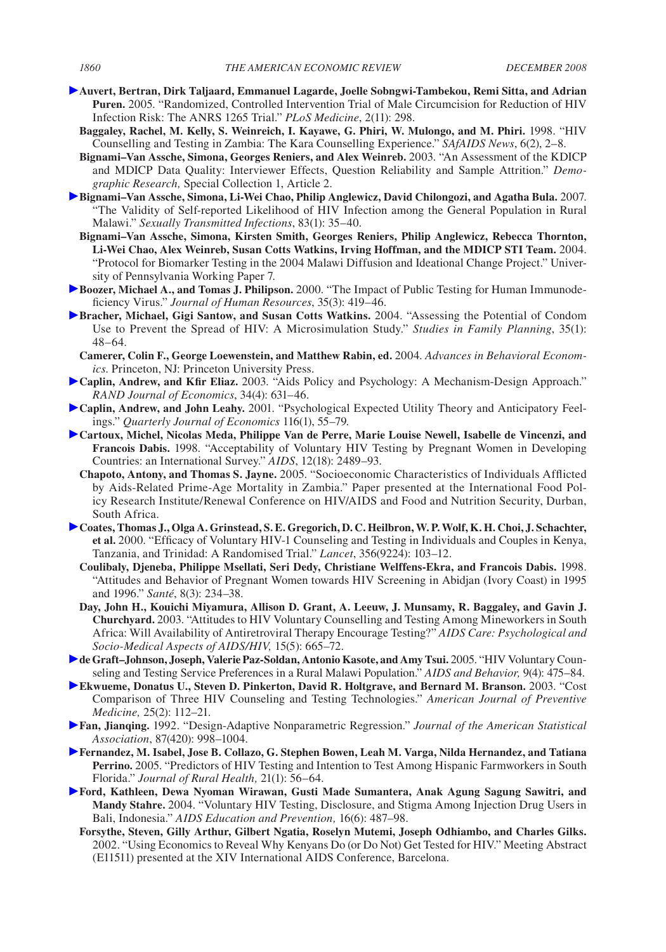- **Auvert, Bertran, Dirk Taljaard, Emmanuel Lagarde, Joelle Sobngwi-Tambekou, Remi Sitta, and Adrian Puren.** 2005. "Randomized, Controlled Intervention Trial of Male Circumcision for Reduction of HIV Infection Risk: The ANRS 1265 Trial." *PLoS Medicine*, 2(11): 298.
	- **Baggaley, Rachel, M. Kelly, S. Weinreich, I. Kayawe, G. Phiri, W. Mulongo, and M. Phiri.** 1998. "HIV Counselling and Testing in Zambia: The Kara Counselling Experience." *SAfAIDS News*, 6(2), 2–8.
	- **Bignami–Van Assche, Simona, Georges Reniers, and Alex Weinreb.** 2003. "An Assessment of the KDICP and MDICP Data Quality: Interviewer Effects, Question Reliability and Sample Attrition." *Demographic Research,* Special Collection 1, Article 2.
- **Bignami–Van Assche, Simona, Li-Wei Chao, Philip Anglewicz, David Chilongozi, and Agatha Bula.** 2007. "The Validity of Self-reported Likelihood of HIV Infection among the General Population in Rural Malawi." *Sexually Transmitted Infections*, 83(1): 35–40.
	- **Bignami–Van Assche, Simona, Kirsten Smith, Georges Reniers, Philip Anglewicz, Rebecca Thornton, Li-Wei Chao, Alex Weinreb, Susan Cotts Watkins, Irving Hoffman, and the MDICP STI Team.** 2004. "Protocol for Biomarker Testing in the 2004 Malawi Diffusion and Ideational Change Project." University of Pennsylvania Working Paper 7.
- **Boozer, Michael A., and Tomas J. Philipson.** 2000. "The Impact of Public Testing for Human Immunodeficiency Virus." *Journal of Human Resources*, 35(3): 419–46.
- **Bracher, Michael, Gigi Santow, and Susan Cotts Watkins.** 2004. "Assessing the Potential of Condom Use to Prevent the Spread of HIV: A Microsimulation Study." *Studies in Family Planning*, 35(1): 48–64.
	- **Camerer, Colin F., George Loewenstein, and Matthew Rabin, ed.** 2004. *Advances in Behavioral Economics*. Princeton, NJ: Princeton University Press.
- **Caplin, Andrew, and Kfir Eliaz.** 2003. "Aids Policy and Psychology: A Mechanism-Design Approach." *RAND Journal of Economics*, 34(4): 631–46.
- **Caplin, Andrew, and John Leahy.** 2001. "Psychological Expected Utility Theory and Anticipatory Feelings." *Quarterly Journal of Economics* 116(1), 55–79.
- **Cartoux, Michel, Nicolas Meda, Philippe Van de Perre, Marie Louise Newell, Isabelle de Vincenzi, and Francois Dabis.** 1998. "Acceptability of Voluntary HIV Testing by Pregnant Women in Developing Countries: an International Survey." *AIDS*, 12(18): 2489–93.
	- **Chapoto, Antony, and Thomas S. Jayne.** 2005. "Socioeconomic Characteristics of Individuals Afflicted by Aids-Related Prime-Age Mortality in Zambia." Paper presented at the International Food Policy Research Institute/Renewal Conference on HIV/AIDS and Food and Nutrition Security, Durban, South Africa.
- **Coates, Thomas J., Olga A. Grinstead, S. E. Gregorich, D. C. Heilbron, W. P. Wolf, K. H. Choi, J. Schachter, et al.** 2000. "Efficacy of Voluntary HIV-1 Counseling and Testing in Individuals and Couples in Kenya, Tanzania, and Trinidad: A Randomised Trial." *Lancet*, 356(9224): 103–12.
	- **Coulibaly, Djeneba, Philippe Msellati, Seri Dedy, Christiane Welffens-Ekra, and Francois Dabis.** 1998. "Attitudes and Behavior of Pregnant Women towards HIV Screening in Abidjan (Ivory Coast) in 1995 and 1996." *Santé*, 8(3): 234–38.
	- **Day, John H., Kouichi Miyamura, Allison D. Grant, A. Leeuw, J. Munsamy, R. Baggaley, and Gavin J. Churchyard.** 2003. "Attitudes to HIV Voluntary Counselling and Testing Among Mineworkers in South Africa: Will Availability of Antiretroviral Therapy Encourage Testing?" *AIDS Care: Psychological and Socio-Medical Aspects of AIDS/HIV,* 15(5): 665–72.
- **de Graft–Johnson, Joseph, Valerie Paz-Soldan, Antonio Kasote, and Amy Tsui.** 2005. "HIV Voluntary Counseling and Testing Service Preferences in a Rural Malawi Population." *AIDS and Behavior,* 9(4): 475–84.
- **Ekwueme, Donatus U., Steven D. Pinkerton, David R. Holtgrave, and Bernard M. Branson.** 2003. "Cost Comparison of Three HIV Counseling and Testing Technologies." *American Journal of Preventive Medicine,* 25(2): 112–21.
- **Fan, Jianqing.** 1992. "Design-Adaptive Nonparametric Regression." *Journal of the American Statistical Association*, 87(420): 998–1004.
- **Fernandez, M. Isabel, Jose B. Collazo, G. Stephen Bowen, Leah M. Varga, Nilda Hernandez, and Tatiana Perrino.** 2005. "Predictors of HIV Testing and Intention to Test Among Hispanic Farmworkers in South Florida." *Journal of Rural Health,* 21(1): 56–64.
- **Ford, Kathleen, Dewa Nyoman Wirawan, Gusti Made Sumantera, Anak Agung Sagung Sawitri, and Mandy Stahre.** 2004. "Voluntary HIV Testing, Disclosure, and Stigma Among Injection Drug Users in Bali, Indonesia." *AIDS Education and Prevention,* 16(6): 487–98.
	- **Forsythe, Steven, Gilly Arthur, Gilbert Ngatia, Roselyn Mutemi, Joseph Odhiambo, and Charles Gilks.**  2002. "Using Economics to Reveal Why Kenyans Do (or Do Not) Get Tested for HIV." Meeting Abstract (E11511) presented at the XIV International AIDS Conference, Barcelona.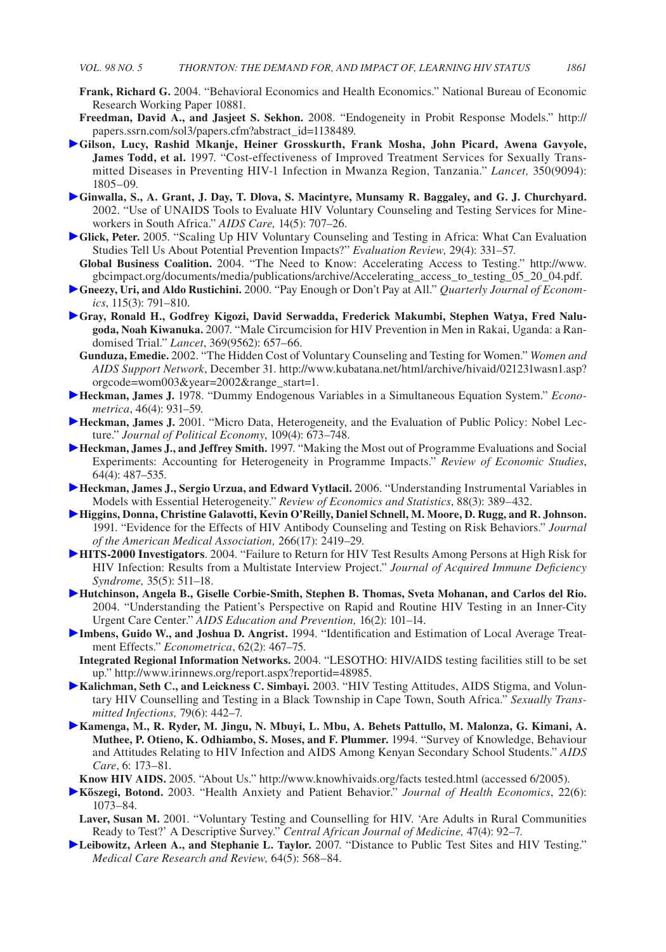- **Frank, Richard G.** 2004. "Behavioral Economics and Health Economics." National Bureau of Economic Research Working Paper 10881.
- **Freedman, David A., and Jasjeet S. Sekhon.** 2008. "Endogeneity in Probit Response Models." http:// papers.ssrn.com/sol3/papers.cfm?abstract\_id=1138489.
- **Gilson, Lucy, Rashid Mkanje, Heiner Grosskurth, Frank Mosha, John Picard, Awena Gavyole, James Todd, et al.** 1997. "Cost-effectiveness of Improved Treatment Services for Sexually Transmitted Diseases in Preventing HIV-1 Infection in Mwanza Region, Tanzania." *Lancet,* 350(9094): 1805–09.
- **Ginwalla, S., A. Grant, J. Day, T. Dlova, S. Macintyre, Munsamy R. Baggaley, and G. J. Churchyard.**  2002. "Use of UNAIDS Tools to Evaluate HIV Voluntary Counseling and Testing Services for Mineworkers in South Africa." *AIDS Care,* 14(5): 707–26.
- **Glick, Peter.** 2005. "Scaling Up HIV Voluntary Counseling and Testing in Africa: What Can Evaluation Studies Tell Us About Potential Prevention Impacts?" *Evaluation Review,* 29(4): 331–57.
- **Global Business Coalition.** 2004. "The Need to Know: Accelerating Access to Testing." http://www. gbcimpact.org/documents/media/publications/archive/Accelerating\_access\_to\_testing\_05\_20\_04.pdf.
- **Gneezy, Uri, and Aldo Rustichini.** 2000. "Pay Enough or Don't Pay at All." *Quarterly Journal of Economics*, 115(3): 791–810.
- **Gray, Ronald H., Godfrey Kigozi, David Serwadda, Frederick Makumbi, Stephen Watya, Fred Nalugoda, Noah Kiwanuka.** 2007. "Male Circumcision for HIV Prevention in Men in Rakai, Uganda: a Randomised Trial." *Lancet*, 369(9562): 657–66.
	- **Gunduza, Emedie.** 2002. "The Hidden Cost of Voluntary Counseling and Testing for Women." *Women and AIDS Support Network*, December 31. http://www.kubatana.net/html/archive/hivaid/021231wasn1.asp? orgcode=wom003&year=2002&range\_start=1.
- **Heckman, James J.** 1978. "Dummy Endogenous Variables in a Simultaneous Equation System." *Econometrica*, 46(4): 931–59.
- **Heckman, James J.** 2001. "Micro Data, Heterogeneity, and the Evaluation of Public Policy: Nobel Lecture." *Journal of Political Economy*, 109(4): 673–748.
- **Heckman, James J., and Jeffrey Smith.** 1997. "Making the Most out of Programme Evaluations and Social Experiments: Accounting for Heterogeneity in Programme Impacts." *Review of Economic Studies*, 64(4): 487–535.
- **Heckman, James J., Sergio Urzua, and Edward Vytlacil.** 2006. "Understanding Instrumental Variables in Models with Essential Heterogeneity." *Review of Economics and Statistics*, 88(3): 389–432.
- **Higgins, Donna, Christine Galavotti, Kevin O'Reilly, Daniel Schnell, M. Moore, D. Rugg, and R. Johnson.**  1991. "Evidence for the Effects of HIV Antibody Counseling and Testing on Risk Behaviors." *Journal of the American Medical Association,* 266(17): 2419–29.
- **HITS-2000 Investigators**. 2004. "Failure to Return for HIV Test Results Among Persons at High Risk for HIV Infection: Results from a Multistate Interview Project." *Journal of Acquired Immune Deficiency Syndrome,* 35(5): 511–18.
- **Hutchinson, Angela B., Giselle Corbie-Smith, Stephen B. Thomas, Sveta Mohanan, and Carlos del Rio.**  2004. "Understanding the Patient's Perspective on Rapid and Routine HIV Testing in an Inner-City Urgent Care Center." *AIDS Education and Prevention,* 16(2): 101–14.
- **Imbens, Guido W., and Joshua D. Angrist.** 1994. "Identification and Estimation of Local Average Treatment Effects." *Econometrica*, 62(2): 467–75.
- **Integrated Regional Information Networks.** 2004. "LESOTHO: HIV/AIDS testing facilities still to be set up." http://www.irinnews.org/report.aspx?reportid=48985.
- **Kalichman, Seth C., and Leickness C. Simbayi.** 2003. "HIV Testing Attitudes, AIDS Stigma, and Voluntary HIV Counselling and Testing in a Black Township in Cape Town, South Africa." *Sexually Transmitted Infections,* 79(6): 442–7.
- **Kamenga, M., R. Ryder, M. Jingu, N. Mbuyi, L. Mbu, A. Behets Pattullo, M. Malonza, G. Kimani, A. Muthee, P. Otieno, K. Odhiambo, S. Moses, and F. Plummer.** 1994. "Survey of Knowledge, Behaviour and Attitudes Relating to HIV Infection and AIDS Among Kenyan Secondary School Students." *AIDS Care*, 6: 173–81.
- **Know HIV AIDS.** 2005. "About Us." http://www.knowhivaids.org/facts tested.html (accessed 6/2005).
- **Kőszegi, Botond.** 2003. "Health Anxiety and Patient Behavior." *Journal of Health Economics*, 22(6): 1073–84.
	- **Laver, Susan M.** 2001. "Voluntary Testing and Counselling for HIV. 'Are Adults in Rural Communities Ready to Test?' A Descriptive Survey." *Central African Journal of Medicine,* 47(4): 92–7.
- **Leibowitz, Arleen A., and Stephanie L. Taylor.** 2007. "Distance to Public Test Sites and HIV Testing." *Medical Care Research and Review,* 64(5): 568–84.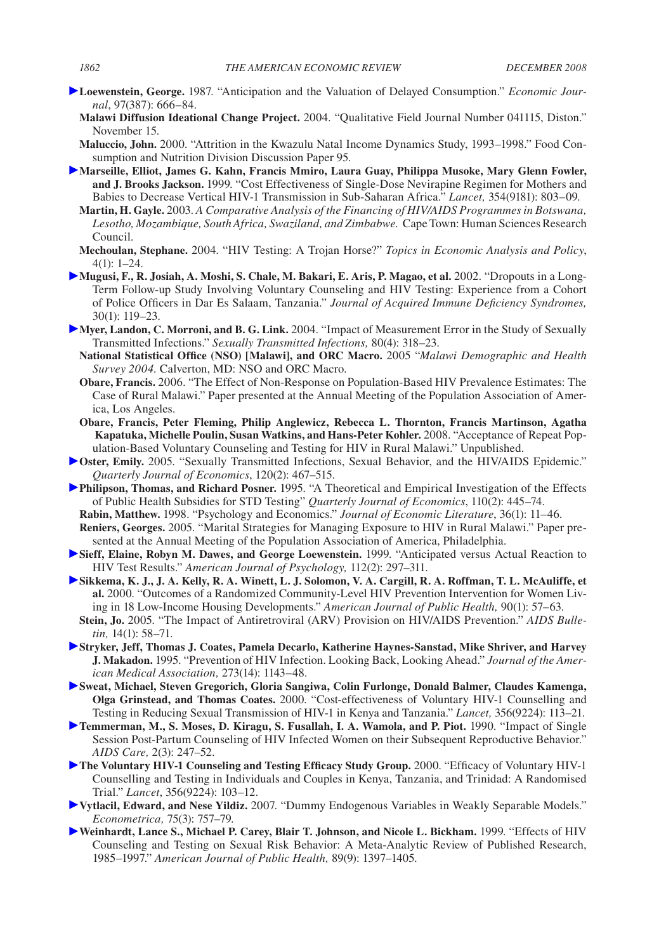- **Loewenstein, George.** 1987. "Anticipation and the Valuation of Delayed Consumption." *Economic Journal*, 97(387): 666–84.
	- **Malawi Diffusion Ideational Change Project.** 2004. "Qualitative Field Journal Number 041115, Diston." November 15.
	- **Maluccio, John.** 2000. "Attrition in the Kwazulu Natal Income Dynamics Study, 1993–1998." Food Consumption and Nutrition Division Discussion Paper 95.
- **Marseille, Elliot, James G. Kahn, Francis Mmiro, Laura Guay, Philippa Musoke, Mary Glenn Fowler, and J. Brooks Jackson.** 1999. "Cost Effectiveness of Single-Dose Nevirapine Regimen for Mothers and Babies to Decrease Vertical HIV-1 Transmission in Sub-Saharan Africa." *Lancet,* 354(9181): 803–09.
	- **Martin, H. Gayle.** 2003. *A Comparative Analysis of the Financing of HIV/AIDS Programmes in Botswana, Lesotho, Mozambique, South Africa, Swaziland, and Zimbabwe.* Cape Town: Human Sciences Research Council.
	- **Mechoulan, Stephane.** 2004. "Hiv Testing: A Trojan Horse?" *Topics in Economic Analysis and Policy*, 4(1): 1–24.
- Mugusi, F., R. Josiah, A. Moshi, S. Chale, M. Bakari, E. Aris, P. Magao, et al. 2002. "Dropouts in a Long-Term Follow-up Study Involving Voluntary Counseling and HIV Testing: Experience from a Cohort of Police Officers in Dar Es Salaam, Tanzania." *Journal of Acquired Immune Deficiency Syndromes,* 30(1): 119–23.
- **Myer, Landon, C. Morroni, and B. G. Link.** 2004. "Impact of Measurement Error in the Study of Sexually Transmitted Infections." *Sexually Transmitted Infections,* 80(4): 318–23.
	- **National Statistical Office (NSO) [Malawi], and ORC Macro.** 2005 "*Malawi Demographic and Health Survey 2004.* Calverton, MD: NSO and ORC Macro.
	- **Obare, Francis.** 2006. "The Effect of Non-Response on Population-Based HIV Prevalence Estimates: The Case of Rural Malawi." Paper presented at the Annual Meeting of the Population Association of America, Los Angeles.
	- **Obare, Francis, Peter Fleming, Philip Anglewicz, Rebecca L. Thornton, Francis Martinson, Agatha Kapatuka, Michelle Poulin, Susan Watkins, and Hans-Peter Kohler.** 2008. "Acceptance of Repeat Population-Based Voluntary Counseling and Testing for HIV in Rural Malawi." Unpublished.
- **Oster, Emily.** 2005. "Sexually Transmitted Infections, Sexual Behavior, and the HIV/AIDS Epidemic." *Quarterly Journal of Economics*, 120(2): 467–515.
- **Philipson, Thomas, and Richard Posner.** 1995. "A Theoretical and Empirical Investigation of the Effects of Public Health Subsidies for STD Testing" *Quarterly Journal of Economics*, 110(2): 445–74.
	- **Rabin, Matthew.** 1998. "Psychology and Economics." *Journal of Economic Literature*, 36(1): 11–46.
- **Reniers, Georges.** 2005. "Marital Strategies for Managing Exposure to HIV in Rural Malawi." Paper presented at the Annual Meeting of the Population Association of America, Philadelphia.
- **Sieff, Elaine, Robyn M. Dawes, and George Loewenstein.** 1999. "Anticipated versus Actual Reaction to HIV Test Results." *American Journal of Psychology,* 112(2): 297–311.
- **Sikkema, K. J., J. A. Kelly, R. A. Winett, L. J. Solomon, V. A. Cargill, R. A. Roffman, T. L. McAuliffe, et al.** 2000. "Outcomes of a Randomized Community-Level HIV Prevention Intervention for Women Living in 18 Low-Income Housing Developments." *American Journal of Public Health,* 90(1): 57–63.
- **Stein, Jo.** 2005. "The Impact of Antiretroviral (ARV) Provision on HIV/AIDS Prevention." *AIDS Bulletin,* 14(1): 58–71.
- **Stryker, Jeff, Thomas J. Coates, Pamela Decarlo, Katherine Haynes-Sanstad, Mike Shriver, and Harvey J. Makadon.** 1995. "Prevention of HIV Infection. Looking Back, Looking Ahead." *Journal of the American Medical Association,* 273(14): 1143–48.
- **Sweat, Michael, Steven Gregorich, Gloria Sangiwa, Colin Furlonge, Donald Balmer, Claudes Kamenga, Olga Grinstead, and Thomas Coates.** 2000. "Cost-effectiveness of Voluntary HIV-1 Counselling and Testing in Reducing Sexual Transmission of HIV-1 in Kenya and Tanzania." *Lancet,* 356(9224): 113–21.
- **Temmerman, M., S. Moses, D. Kiragu, S. Fusallah, I. A. Wamola, and P. Piot.** 1990. "Impact of Single Session Post-Partum Counseling of HIV Infected Women on their Subsequent Reproductive Behavior." *AIDS Care,* 2(3): 247–52.
- **The Voluntary HIV-1 Counseling and Testing Efficacy Study Group.** 2000. "Efficacy of Voluntary HIV-1 Counselling and Testing in Individuals and Couples in Kenya, Tanzania, and Trinidad: A Randomised Trial." *Lancet*, 356(9224): 103–12.
- **Vytlacil, Edward, and Nese Yildiz.** 2007. "Dummy Endogenous Variables in Weakly Separable Models." *Econometrica,* 75(3): 757–79.
- **Weinhardt, Lance S., Michael P. Carey, Blair T. Johnson, and Nicole L. Bickham.** 1999. "Effects of HIV Counseling and Testing on Sexual Risk Behavior: A Meta-Analytic Review of Published Research, 1985–1997." *American Journal of Public Health,* 89(9): 1397–1405.